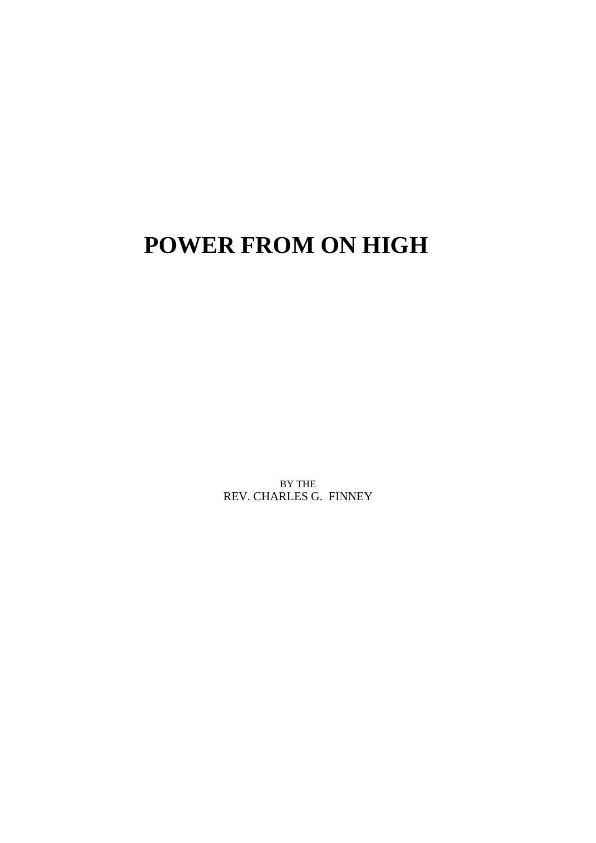# **POWER FROM ON HIGH**

BY THE REV. CHARLES G. FINNEY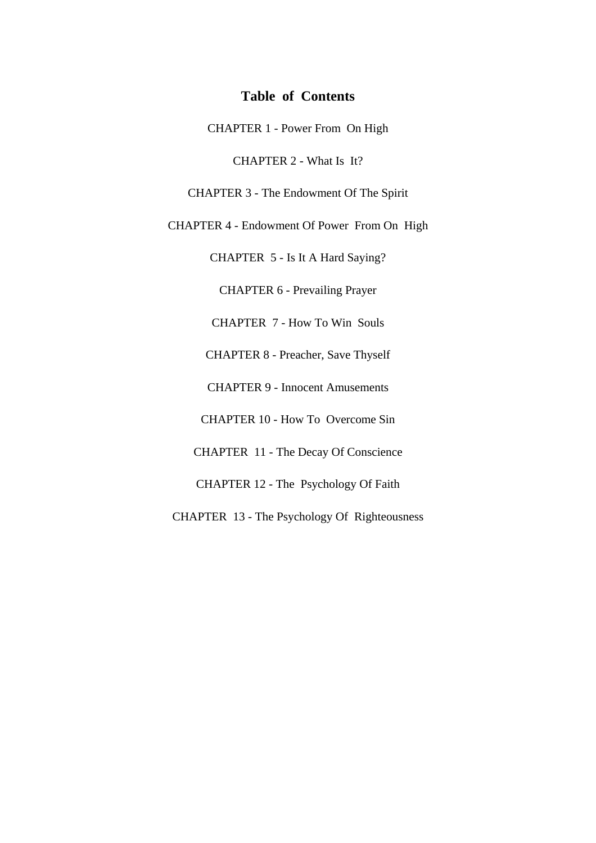# **Table of Contents**

CHAPTER 1 - Power From On High

CHAPTER 2 - What Is It?

CHAPTER 3 - The Endowment Of The Spirit

CHAPTER 4 - Endowment Of Power From On High

CHAPTER 5 - Is It A Hard Saying?

CHAPTER 6 - Prevailing Prayer

CHAPTER 7 - How To Win Souls

CHAPTER 8 - Preacher, Save Thyself

CHAPTER 9 - Innocent Amusements

CHAPTER 10 - How To Overcome Sin

CHAPTER 11 - The Decay Of Conscience

CHAPTER 12 - The Psychology Of Faith

CHAPTER 13 - The Psychology Of Righteousness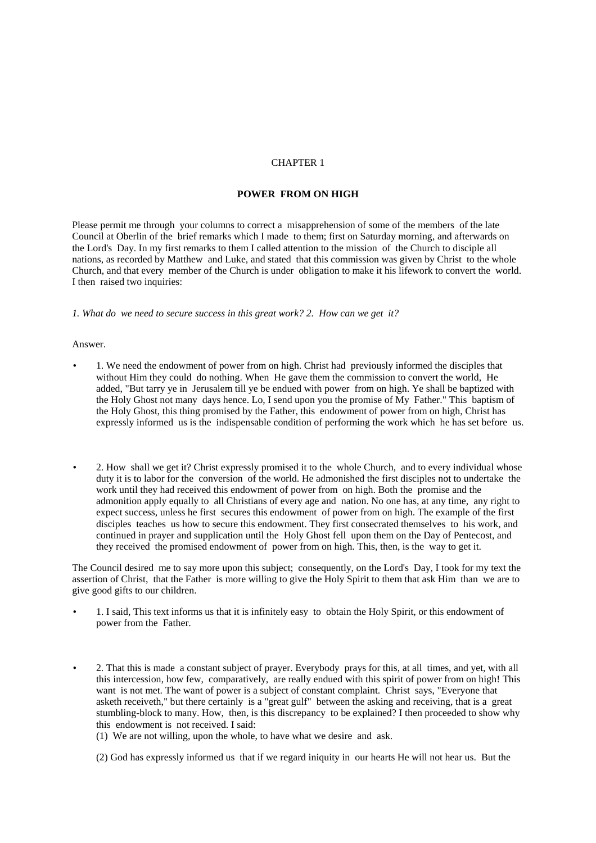#### CHAPTER 1

# **POWER FROM ON HIGH**

Please permit me through your columns to correct a misapprehension of some of the members of the late Council at Oberlin of the brief remarks which I made to them; first on Saturday morning, and afterwards on the Lord's Day. In my first remarks to them I called attention to the mission of the Church to disciple all nations, as recorded by Matthew and Luke, and stated that this commission was given by Christ to the whole Church, and that every member of the Church is under obligation to make it his lifework to convert the world. I then raised two inquiries:

*1. What do we need to secure success in this great work? 2. How can we get it?*

# Answer.

- 1. We need the endowment of power from on high. Christ had previously informed the disciples that without Him they could do nothing. When He gave them the commission to convert the world, He added, "But tarry ye in Jerusalem till ye be endued with power from on high. Ye shall be baptized with the Holy Ghost not many days hence. Lo, I send upon you the promise of My Father." This baptism of the Holy Ghost, this thing promised by the Father, this endowment of power from on high, Christ has expressly informed us is the indispensable condition of performing the work which he has set before us.
- 2. How shall we get it? Christ expressly promised it to the whole Church, and to every individual whose duty it is to labor for the conversion of the world. He admonished the first disciples not to undertake the work until they had received this endowment of power from on high. Both the promise and the admonition apply equally to all Christians of every age and nation. No one has, at any time, any right to expect success, unless he first secures this endowment of power from on high. The example of the first disciples teaches us how to secure this endowment. They first consecrated themselves to his work, and continued in prayer and supplication until the Holy Ghost fell upon them on the Day of Pentecost, and they received the promised endowment of power from on high. This, then, is the way to get it.

The Council desired me to say more upon this subject; consequently, on the Lord's Day, I took for my text the assertion of Christ, that the Father is more willing to give the Holy Spirit to them that ask Him than we are to give good gifts to our children.

- 1. I said, This text informs us that it is infinitely easy to obtain the Holy Spirit, or this endowment of power from the Father.
- 2. That this is made a constant subject of prayer. Everybody prays for this, at all times, and yet, with all this intercession, how few, comparatively, are really endued with this spirit of power from on high! This want is not met. The want of power is a subject of constant complaint. Christ says, "Everyone that asketh receiveth," but there certainly is a "great gulf" between the asking and receiving, that is a great stumbling-block to many. How, then, is this discrepancy to be explained? I then proceeded to show why this endowment is not received. I said:
	- (1) We are not willing, upon the whole, to have what we desire and ask.

(2) God has expressly informed us that if we regard iniquity in our hearts He will not hear us. But the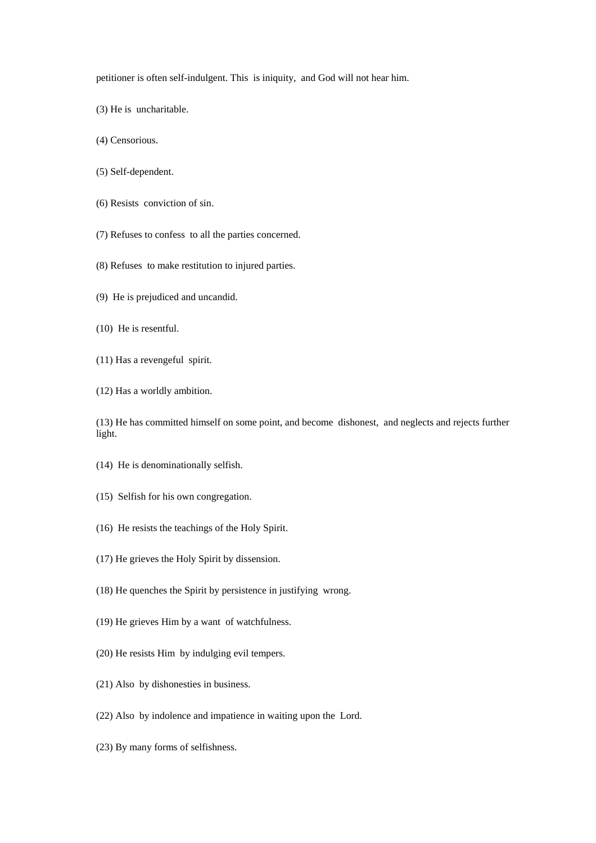petitioner is often self-indulgent. This is iniquity, and God will not hear him.

- (3) He is uncharitable.
- (4) Censorious.
- (5) Self-dependent.
- (6) Resists conviction of sin.
- (7) Refuses to confess to all the parties concerned.
- (8) Refuses to make restitution to injured parties.
- (9) He is prejudiced and uncandid.
- (10) He is resentful.
- (11) Has a revengeful spirit.
- (12) Has a worldly ambition.

(13) He has committed himself on some point, and become dishonest, and neglects and rejects further light.

- (14) He is denominationally selfish.
- (15) Selfish for his own congregation.
- (16) He resists the teachings of the Holy Spirit.
- (17) He grieves the Holy Spirit by dissension.
- (18) He quenches the Spirit by persistence in justifying wrong.
- (19) He grieves Him by a want of watchfulness.
- (20) He resists Him by indulging evil tempers.
- (21) Also by dishonesties in business.
- (22) Also by indolence and impatience in waiting upon the Lord.
- (23) By many forms of selfishness.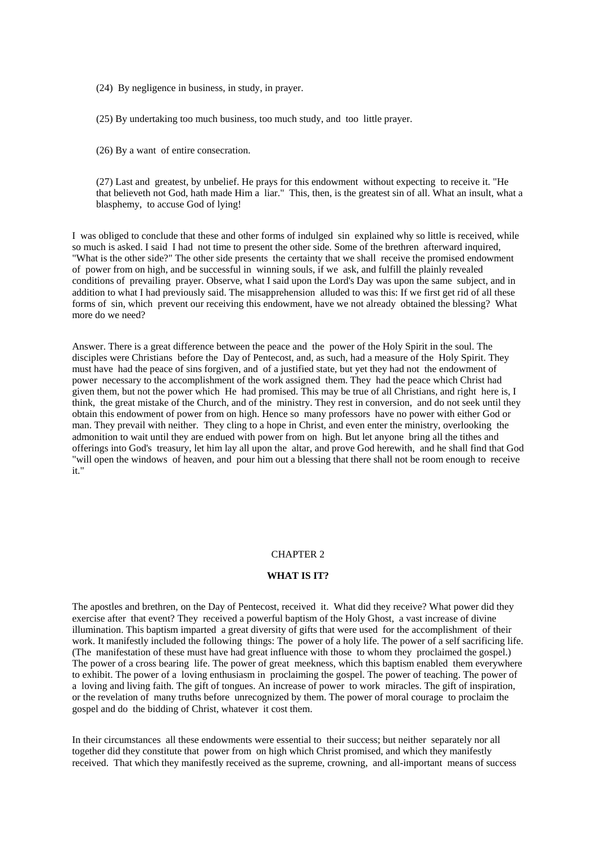(24) By negligence in business, in study, in prayer.

(25) By undertaking too much business, too much study, and too little prayer.

(26) By a want of entire consecration.

(27) Last and greatest, by unbelief. He prays for this endowment without expecting to receive it. "He that believeth not God, hath made Him a liar." This, then, is the greatest sin of all. What an insult, what a blasphemy, to accuse God of lying!

I was obliged to conclude that these and other forms of indulged sin explained why so little is received, while so much is asked. I said I had not time to present the other side. Some of the brethren afterward inquired, "What is the other side?" The other side presents the certainty that we shall receive the promised endowment of power from on high, and be successful in winning souls, if we ask, and fulfill the plainly revealed conditions of prevailing prayer. Observe, what I said upon the Lord's Day was upon the same subject, and in addition to what I had previously said. The misapprehension alluded to was this: If we first get rid of all these forms of sin, which prevent our receiving this endowment, have we not already obtained the blessing? What more do we need?

Answer. There is a great difference between the peace and the power of the Holy Spirit in the soul. The disciples were Christians before the Day of Pentecost, and, as such, had a measure of the Holy Spirit. They must have had the peace of sins forgiven, and of a justified state, but yet they had not the endowment of power necessary to the accomplishment of the work assigned them. They had the peace which Christ had given them, but not the power which He had promised. This may be true of all Christians, and right here is, I think, the great mistake of the Church, and of the ministry. They rest in conversion, and do not seek until they obtain this endowment of power from on high. Hence so many professors have no power with either God or man. They prevail with neither. They cling to a hope in Christ, and even enter the ministry, overlooking the admonition to wait until they are endued with power from on high. But let anyone bring all the tithes and offerings into God's treasury, let him lay all upon the altar, and prove God herewith, and he shall find that God "will open the windows of heaven, and pour him out a blessing that there shall not be room enough to receive it."

# CHAPTER 2

#### **WHAT IS IT?**

The apostles and brethren, on the Day of Pentecost, received it. What did they receive? What power did they exercise after that event? They received a powerful baptism of the Holy Ghost, a vast increase of divine illumination. This baptism imparted a great diversity of gifts that were used for the accomplishment of their work. It manifestly included the following things: The power of a holy life. The power of a self sacrificing life. (The manifestation of these must have had great influence with those to whom they proclaimed the gospel.) The power of a cross bearing life. The power of great meekness, which this baptism enabled them everywhere to exhibit. The power of a loving enthusiasm in proclaiming the gospel. The power of teaching. The power of a loving and living faith. The gift of tongues. An increase of power to work miracles. The gift of inspiration, or the revelation of many truths before unrecognized by them. The power of moral courage to proclaim the gospel and do the bidding of Christ, whatever it cost them.

In their circumstances all these endowments were essential to their success; but neither separately nor all together did they constitute that power from on high which Christ promised, and which they manifestly received. That which they manifestly received as the supreme, crowning, and all-important means of success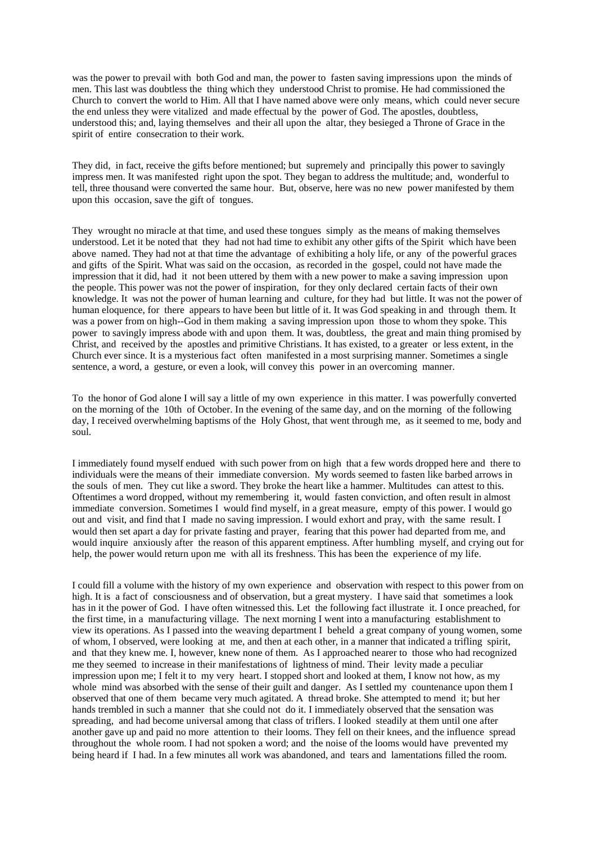was the power to prevail with both God and man, the power to fasten saving impressions upon the minds of men. This last was doubtless the thing which they understood Christ to promise. He had commissioned the Church to convert the world to Him. All that I have named above were only means, which could never secure the end unless they were vitalized and made effectual by the power of God. The apostles, doubtless, understood this; and, laying themselves and their all upon the altar, they besieged a Throne of Grace in the spirit of entire consecration to their work.

They did, in fact, receive the gifts before mentioned; but supremely and principally this power to savingly impress men. It was manifested right upon the spot. They began to address the multitude; and, wonderful to tell, three thousand were converted the same hour. But, observe, here was no new power manifested by them upon this occasion, save the gift of tongues.

They wrought no miracle at that time, and used these tongues simply as the means of making themselves understood. Let it be noted that they had not had time to exhibit any other gifts of the Spirit which have been above named. They had not at that time the advantage of exhibiting a holy life, or any of the powerful graces and gifts of the Spirit. What was said on the occasion, as recorded in the gospel, could not have made the impression that it did, had it not been uttered by them with a new power to make a saving impression upon the people. This power was not the power of inspiration, for they only declared certain facts of their own knowledge. It was not the power of human learning and culture, for they had but little. It was not the power of human eloquence, for there appears to have been but little of it. It was God speaking in and through them. It was a power from on high--God in them making a saving impression upon those to whom they spoke. This power to savingly impress abode with and upon them. It was, doubtless, the great and main thing promised by Christ, and received by the apostles and primitive Christians. It has existed, to a greater or less extent, in the Church ever since. It is a mysterious fact often manifested in a most surprising manner. Sometimes a single sentence, a word, a gesture, or even a look, will convey this power in an overcoming manner.

To the honor of God alone I will say a little of my own experience in this matter. I was powerfully converted on the morning of the 10th of October. In the evening of the same day, and on the morning of the following day, I received overwhelming baptisms of the Holy Ghost, that went through me, as it seemed to me, body and soul.

I immediately found myself endued with such power from on high that a few words dropped here and there to individuals were the means of their immediate conversion. My words seemed to fasten like barbed arrows in the souls of men. They cut like a sword. They broke the heart like a hammer. Multitudes can attest to this. Oftentimes a word dropped, without my remembering it, would fasten conviction, and often result in almost immediate conversion. Sometimes I would find myself, in a great measure, empty of this power. I would go out and visit, and find that I made no saving impression. I would exhort and pray, with the same result. I would then set apart a day for private fasting and prayer, fearing that this power had departed from me, and would inquire anxiously after the reason of this apparent emptiness. After humbling myself, and crying out for help, the power would return upon me with all its freshness. This has been the experience of my life.

I could fill a volume with the history of my own experience and observation with respect to this power from on high. It is a fact of consciousness and of observation, but a great mystery. I have said that sometimes a look has in it the power of God. I have often witnessed this. Let the following fact illustrate it. I once preached, for the first time, in a manufacturing village. The next morning I went into a manufacturing establishment to view its operations. As I passed into the weaving department I beheld a great company of young women, some of whom, I observed, were looking at me, and then at each other, in a manner that indicated a trifling spirit, and that they knew me. I, however, knew none of them. As I approached nearer to those who had recognized me they seemed to increase in their manifestations of lightness of mind. Their levity made a peculiar impression upon me; I felt it to my very heart. I stopped short and looked at them, I know not how, as my whole mind was absorbed with the sense of their guilt and danger. As I settled my countenance upon them I observed that one of them became very much agitated. A thread broke. She attempted to mend it; but her hands trembled in such a manner that she could not do it. I immediately observed that the sensation was spreading, and had become universal among that class of triflers. I looked steadily at them until one after another gave up and paid no more attention to their looms. They fell on their knees, and the influence spread throughout the whole room. I had not spoken a word; and the noise of the looms would have prevented my being heard if I had. In a few minutes all work was abandoned, and tears and lamentations filled the room.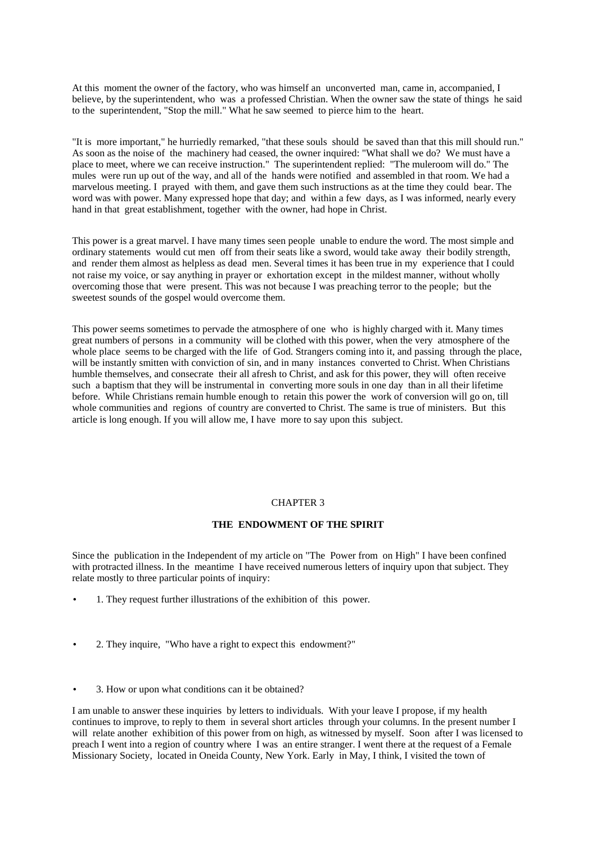At this moment the owner of the factory, who was himself an unconverted man, came in, accompanied, I believe, by the superintendent, who was a professed Christian. When the owner saw the state of things he said to the superintendent, "Stop the mill." What he saw seemed to pierce him to the heart.

"It is more important," he hurriedly remarked, "that these souls should be saved than that this mill should run." As soon as the noise of the machinery had ceased, the owner inquired: "What shall we do? We must have a place to meet, where we can receive instruction." The superintendent replied: "The muleroom will do." The mules were run up out of the way, and all of the hands were notified and assembled in that room. We had a marvelous meeting. I prayed with them, and gave them such instructions as at the time they could bear. The word was with power. Many expressed hope that day; and within a few days, as I was informed, nearly every hand in that great establishment, together with the owner, had hope in Christ.

This power is a great marvel. I have many times seen people unable to endure the word. The most simple and ordinary statements would cut men off from their seats like a sword, would take away their bodily strength, and render them almost as helpless as dead men. Several times it has been true in my experience that I could not raise my voice, or say anything in prayer or exhortation except in the mildest manner, without wholly overcoming those that were present. This was not because I was preaching terror to the people; but the sweetest sounds of the gospel would overcome them.

This power seems sometimes to pervade the atmosphere of one who is highly charged with it. Many times great numbers of persons in a community will be clothed with this power, when the very atmosphere of the whole place seems to be charged with the life of God. Strangers coming into it, and passing through the place, will be instantly smitten with conviction of sin, and in many instances converted to Christ. When Christians humble themselves, and consecrate their all afresh to Christ, and ask for this power, they will often receive such a baptism that they will be instrumental in converting more souls in one day than in all their lifetime before. While Christians remain humble enough to retain this power the work of conversion will go on, till whole communities and regions of country are converted to Christ. The same is true of ministers. But this article is long enough. If you will allow me, I have more to say upon this subject.

#### CHAPTER 3

# **THE ENDOWMENT OF THE SPIRIT**

Since the publication in the Independent of my article on "The Power from on High" I have been confined with protracted illness. In the meantime I have received numerous letters of inquiry upon that subject. They relate mostly to three particular points of inquiry:

- 1. They request further illustrations of the exhibition of this power.
- 2. They inquire, "Who have a right to expect this endowment?"
- 3. How or upon what conditions can it be obtained?

I am unable to answer these inquiries by letters to individuals. With your leave I propose, if my health continues to improve, to reply to them in several short articles through your columns. In the present number I will relate another exhibition of this power from on high, as witnessed by myself. Soon after I was licensed to preach I went into a region of country where I was an entire stranger. I went there at the request of a Female Missionary Society, located in Oneida County, New York. Early in May, I think, I visited the town of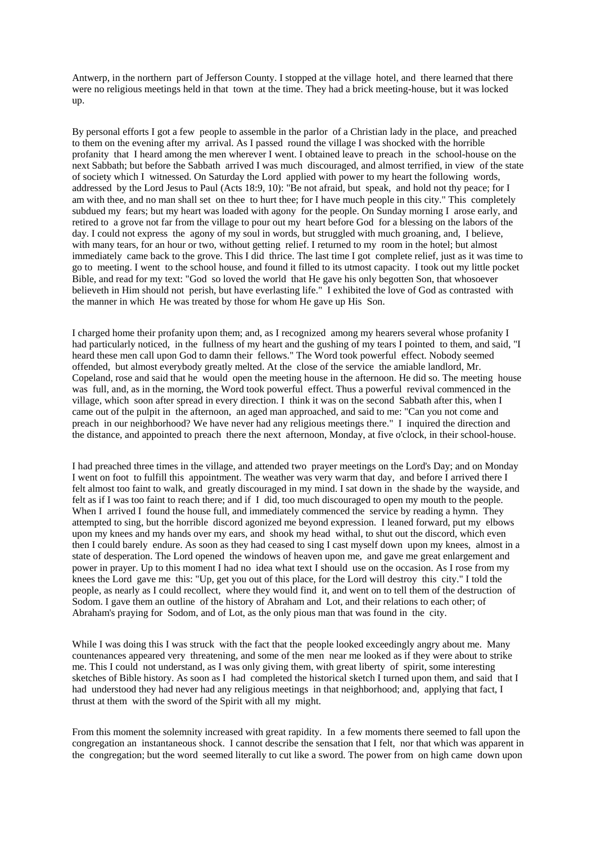Antwerp, in the northern part of Jefferson County. I stopped at the village hotel, and there learned that there were no religious meetings held in that town at the time. They had a brick meeting-house, but it was locked up.

By personal efforts I got a few people to assemble in the parlor of a Christian lady in the place, and preached to them on the evening after my arrival. As I passed round the village I was shocked with the horrible profanity that I heard among the men wherever I went. I obtained leave to preach in the school-house on the next Sabbath; but before the Sabbath arrived I was much discouraged, and almost terrified, in view of the state of society which I witnessed. On Saturday the Lord applied with power to my heart the following words, addressed by the Lord Jesus to Paul (Acts 18:9, 10): "Be not afraid, but speak, and hold not thy peace; for I am with thee, and no man shall set on thee to hurt thee; for I have much people in this city." This completely subdued my fears; but my heart was loaded with agony for the people. On Sunday morning I arose early, and retired to a grove not far from the village to pour out my heart before God for a blessing on the labors of the day. I could not express the agony of my soul in words, but struggled with much groaning, and, I believe, with many tears, for an hour or two, without getting relief. I returned to my room in the hotel; but almost immediately came back to the grove. This I did thrice. The last time I got complete relief, just as it was time to go to meeting. I went to the school house, and found it filled to its utmost capacity. I took out my little pocket Bible, and read for my text: "God so loved the world that He gave his only begotten Son, that whosoever believeth in Him should not perish, but have everlasting life." I exhibited the love of God as contrasted with the manner in which He was treated by those for whom He gave up His Son.

I charged home their profanity upon them; and, as I recognized among my hearers several whose profanity I had particularly noticed, in the fullness of my heart and the gushing of my tears I pointed to them, and said, "I heard these men call upon God to damn their fellows." The Word took powerful effect. Nobody seemed offended, but almost everybody greatly melted. At the close of the service the amiable landlord, Mr. Copeland, rose and said that he would open the meeting house in the afternoon. He did so. The meeting house was full, and, as in the morning, the Word took powerful effect. Thus a powerful revival commenced in the village, which soon after spread in every direction. I think it was on the second Sabbath after this, when I came out of the pulpit in the afternoon, an aged man approached, and said to me: "Can you not come and preach in our neighborhood? We have never had any religious meetings there." I inquired the direction and the distance, and appointed to preach there the next afternoon, Monday, at five o'clock, in their school-house.

I had preached three times in the village, and attended two prayer meetings on the Lord's Day; and on Monday I went on foot to fulfill this appointment. The weather was very warm that day, and before I arrived there I felt almost too faint to walk, and greatly discouraged in my mind. I sat down in the shade by the wayside, and felt as if I was too faint to reach there; and if I did, too much discouraged to open my mouth to the people. When I arrived I found the house full, and immediately commenced the service by reading a hymn. They attempted to sing, but the horrible discord agonized me beyond expression. I leaned forward, put my elbows upon my knees and my hands over my ears, and shook my head withal, to shut out the discord, which even then I could barely endure. As soon as they had ceased to sing I cast myself down upon my knees, almost in a state of desperation. The Lord opened the windows of heaven upon me, and gave me great enlargement and power in prayer. Up to this moment I had no idea what text I should use on the occasion. As I rose from my knees the Lord gave me this: "Up, get you out of this place, for the Lord will destroy this city." I told the people, as nearly as I could recollect, where they would find it, and went on to tell them of the destruction of Sodom. I gave them an outline of the history of Abraham and Lot, and their relations to each other; of Abraham's praying for Sodom, and of Lot, as the only pious man that was found in the city.

While I was doing this I was struck with the fact that the people looked exceedingly angry about me. Many countenances appeared very threatening, and some of the men near me looked as if they were about to strike me. This I could not understand, as I was only giving them, with great liberty of spirit, some interesting sketches of Bible history. As soon as I had completed the historical sketch I turned upon them, and said that I had understood they had never had any religious meetings in that neighborhood; and, applying that fact, I thrust at them with the sword of the Spirit with all my might.

From this moment the solemnity increased with great rapidity. In a few moments there seemed to fall upon the congregation an instantaneous shock. I cannot describe the sensation that I felt, nor that which was apparent in the congregation; but the word seemed literally to cut like a sword. The power from on high came down upon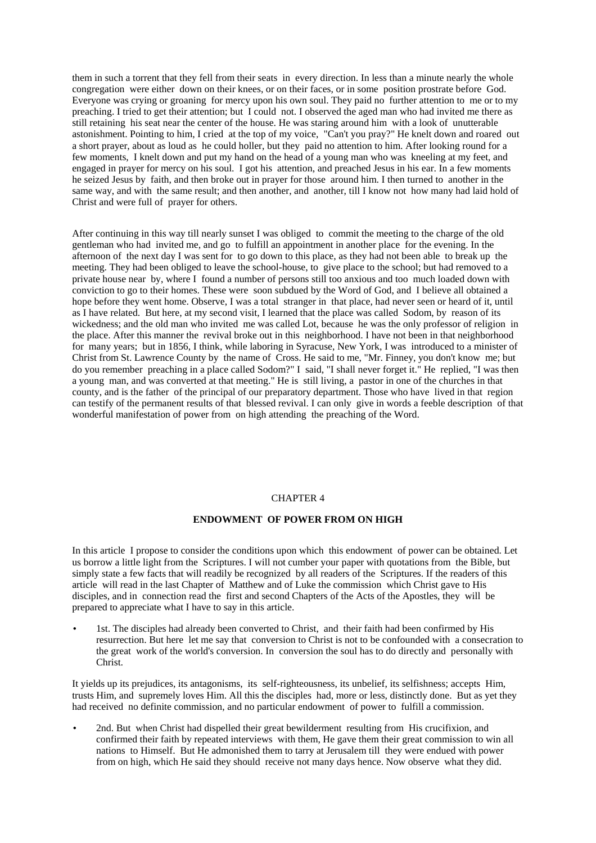them in such a torrent that they fell from their seats in every direction. In less than a minute nearly the whole congregation were either down on their knees, or on their faces, or in some position prostrate before God. Everyone was crying or groaning for mercy upon his own soul. They paid no further attention to me or to my preaching. I tried to get their attention; but I could not. I observed the aged man who had invited me there as still retaining his seat near the center of the house. He was staring around him with a look of unutterable astonishment. Pointing to him, I cried at the top of my voice, "Can't you pray?" He knelt down and roared out a short prayer, about as loud as he could holler, but they paid no attention to him. After looking round for a few moments, I knelt down and put my hand on the head of a young man who was kneeling at my feet, and engaged in prayer for mercy on his soul. I got his attention, and preached Jesus in his ear. In a few moments he seized Jesus by faith, and then broke out in prayer for those around him. I then turned to another in the same way, and with the same result; and then another, and another, till I know not how many had laid hold of Christ and were full of prayer for others.

After continuing in this way till nearly sunset I was obliged to commit the meeting to the charge of the old gentleman who had invited me, and go to fulfill an appointment in another place for the evening. In the afternoon of the next day I was sent for to go down to this place, as they had not been able to break up the meeting. They had been obliged to leave the school-house, to give place to the school; but had removed to a private house near by, where I found a number of persons still too anxious and too much loaded down with conviction to go to their homes. These were soon subdued by the Word of God, and I believe all obtained a hope before they went home. Observe, I was a total stranger in that place, had never seen or heard of it, until as I have related. But here, at my second visit, I learned that the place was called Sodom, by reason of its wickedness; and the old man who invited me was called Lot, because he was the only professor of religion in the place. After this manner the revival broke out in this neighborhood. I have not been in that neighborhood for many years; but in 1856, I think, while laboring in Syracuse, New York, I was introduced to a minister of Christ from St. Lawrence County by the name of Cross. He said to me, "Mr. Finney, you don't know me; but do you remember preaching in a place called Sodom?" I said, "I shall never forget it." He replied, "I was then a young man, and was converted at that meeting." He is still living, a pastor in one of the churches in that county, and is the father of the principal of our preparatory department. Those who have lived in that region can testify of the permanent results of that blessed revival. I can only give in words a feeble description of that wonderful manifestation of power from on high attending the preaching of the Word.

# CHAPTER 4

#### **ENDOWMENT OF POWER FROM ON HIGH**

In this article I propose to consider the conditions upon which this endowment of power can be obtained. Let us borrow a little light from the Scriptures. I will not cumber your paper with quotations from the Bible, but simply state a few facts that will readily be recognized by all readers of the Scriptures. If the readers of this article will read in the last Chapter of Matthew and of Luke the commission which Christ gave to His disciples, and in connection read the first and second Chapters of the Acts of the Apostles, they will be prepared to appreciate what I have to say in this article.

• 1st. The disciples had already been converted to Christ, and their faith had been confirmed by His resurrection. But here let me say that conversion to Christ is not to be confounded with a consecration to the great work of the world's conversion. In conversion the soul has to do directly and personally with Christ.

It yields up its prejudices, its antagonisms, its self-righteousness, its unbelief, its selfishness; accepts Him, trusts Him, and supremely loves Him. All this the disciples had, more or less, distinctly done. But as yet they had received no definite commission, and no particular endowment of power to fulfill a commission.

• 2nd. But when Christ had dispelled their great bewilderment resulting from His crucifixion, and confirmed their faith by repeated interviews with them, He gave them their great commission to win all nations to Himself. But He admonished them to tarry at Jerusalem till they were endued with power from on high, which He said they should receive not many days hence. Now observe what they did.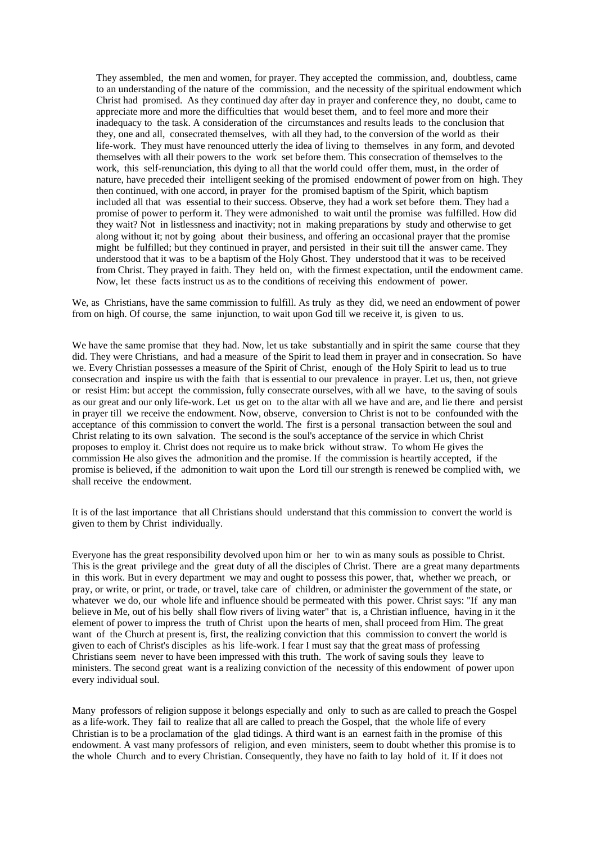They assembled, the men and women, for prayer. They accepted the commission, and, doubtless, came to an understanding of the nature of the commission, and the necessity of the spiritual endowment which Christ had promised. As they continued day after day in prayer and conference they, no doubt, came to appreciate more and more the difficulties that would beset them, and to feel more and more their inadequacy to the task. A consideration of the circumstances and results leads to the conclusion that they, one and all, consecrated themselves, with all they had, to the conversion of the world as their life-work. They must have renounced utterly the idea of living to themselves in any form, and devoted themselves with all their powers to the work set before them. This consecration of themselves to the work, this self-renunciation, this dying to all that the world could offer them, must, in the order of nature, have preceded their intelligent seeking of the promised endowment of power from on high. They then continued, with one accord, in prayer for the promised baptism of the Spirit, which baptism included all that was essential to their success. Observe, they had a work set before them. They had a promise of power to perform it. They were admonished to wait until the promise was fulfilled. How did they wait? Not in listlessness and inactivity; not in making preparations by study and otherwise to get along without it; not by going about their business, and offering an occasional prayer that the promise might be fulfilled; but they continued in prayer, and persisted in their suit till the answer came. They understood that it was to be a baptism of the Holy Ghost. They understood that it was to be received from Christ. They prayed in faith. They held on, with the firmest expectation, until the endowment came. Now, let these facts instruct us as to the conditions of receiving this endowment of power.

We, as Christians, have the same commission to fulfill. As truly as they did, we need an endowment of power from on high. Of course, the same injunction, to wait upon God till we receive it, is given to us.

We have the same promise that they had. Now, let us take substantially and in spirit the same course that they did. They were Christians, and had a measure of the Spirit to lead them in prayer and in consecration. So have we. Every Christian possesses a measure of the Spirit of Christ, enough of the Holy Spirit to lead us to true consecration and inspire us with the faith that is essential to our prevalence in prayer. Let us, then, not grieve or resist Him: but accept the commission, fully consecrate ourselves, with all we have, to the saving of souls as our great and our only life-work. Let us get on to the altar with all we have and are, and lie there and persist in prayer till we receive the endowment. Now, observe, conversion to Christ is not to be confounded with the acceptance of this commission to convert the world. The first is a personal transaction between the soul and Christ relating to its own salvation. The second is the soul's acceptance of the service in which Christ proposes to employ it. Christ does not require us to make brick without straw. To whom He gives the commission He also gives the admonition and the promise. If the commission is heartily accepted, if the promise is believed, if the admonition to wait upon the Lord till our strength is renewed be complied with, we shall receive the endowment.

It is of the last importance that all Christians should understand that this commission to convert the world is given to them by Christ individually.

Everyone has the great responsibility devolved upon him or her to win as many souls as possible to Christ. This is the great privilege and the great duty of all the disciples of Christ. There are a great many departments in this work. But in every department we may and ought to possess this power, that, whether we preach, or pray, or write, or print, or trade, or travel, take care of children, or administer the government of the state, or whatever we do, our whole life and influence should be permeated with this power. Christ says: "If any man believe in Me, out of his belly shall flow rivers of living water" that is, a Christian influence, having in it the element of power to impress the truth of Christ upon the hearts of men, shall proceed from Him. The great want of the Church at present is, first, the realizing conviction that this commission to convert the world is given to each of Christ's disciples as his life-work. I fear I must say that the great mass of professing Christians seem never to have been impressed with this truth. The work of saving souls they leave to ministers. The second great want is a realizing conviction of the necessity of this endowment of power upon every individual soul.

Many professors of religion suppose it belongs especially and only to such as are called to preach the Gospel as a life-work. They fail to realize that all are called to preach the Gospel, that the whole life of every Christian is to be a proclamation of the glad tidings. A third want is an earnest faith in the promise of this endowment. A vast many professors of religion, and even ministers, seem to doubt whether this promise is to the whole Church and to every Christian. Consequently, they have no faith to lay hold of it. If it does not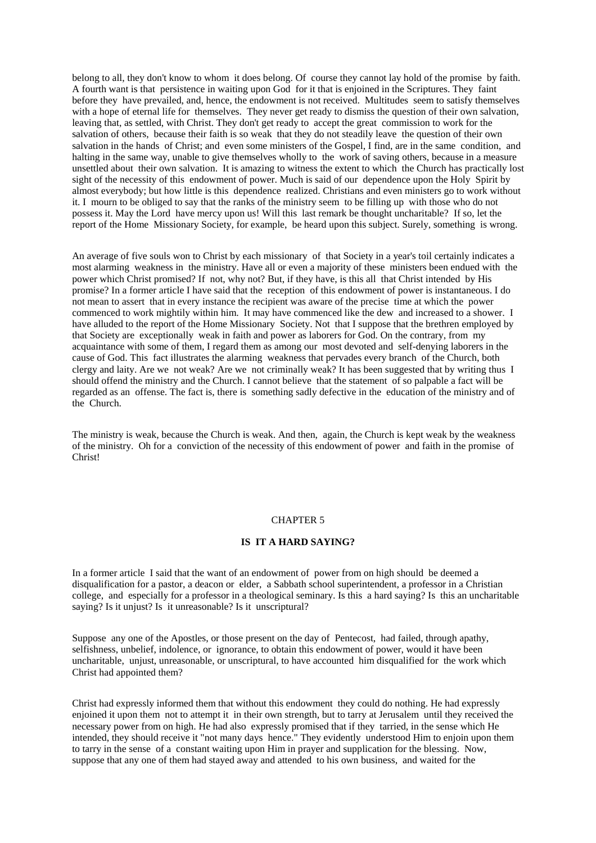belong to all, they don't know to whom it does belong. Of course they cannot lay hold of the promise by faith. A fourth want is that persistence in waiting upon God for it that is enjoined in the Scriptures. They faint before they have prevailed, and, hence, the endowment is not received. Multitudes seem to satisfy themselves with a hope of eternal life for themselves. They never get ready to dismiss the question of their own salvation, leaving that, as settled, with Christ. They don't get ready to accept the great commission to work for the salvation of others, because their faith is so weak that they do not steadily leave the question of their own salvation in the hands of Christ; and even some ministers of the Gospel, I find, are in the same condition, and halting in the same way, unable to give themselves wholly to the work of saving others, because in a measure unsettled about their own salvation. It is amazing to witness the extent to which the Church has practically lost sight of the necessity of this endowment of power. Much is said of our dependence upon the Holy Spirit by almost everybody; but how little is this dependence realized. Christians and even ministers go to work without it. I mourn to be obliged to say that the ranks of the ministry seem to be filling up with those who do not possess it. May the Lord have mercy upon us! Will this last remark be thought uncharitable? If so, let the report of the Home Missionary Society, for example, be heard upon this subject. Surely, something is wrong.

An average of five souls won to Christ by each missionary of that Society in a year's toil certainly indicates a most alarming weakness in the ministry. Have all or even a majority of these ministers been endued with the power which Christ promised? If not, why not? But, if they have, is this all that Christ intended by His promise? In a former article I have said that the reception of this endowment of power is instantaneous. I do not mean to assert that in every instance the recipient was aware of the precise time at which the power commenced to work mightily within him. It may have commenced like the dew and increased to a shower. I have alluded to the report of the Home Missionary Society. Not that I suppose that the brethren employed by that Society are exceptionally weak in faith and power as laborers for God. On the contrary, from my acquaintance with some of them, I regard them as among our most devoted and self-denying laborers in the cause of God. This fact illustrates the alarming weakness that pervades every branch of the Church, both clergy and laity. Are we not weak? Are we not criminally weak? It has been suggested that by writing thus I should offend the ministry and the Church. I cannot believe that the statement of so palpable a fact will be regarded as an offense. The fact is, there is something sadly defective in the education of the ministry and of the Church.

The ministry is weak, because the Church is weak. And then, again, the Church is kept weak by the weakness of the ministry. Oh for a conviction of the necessity of this endowment of power and faith in the promise of Christ!

#### CHAPTER 5

# **IS IT A HARD SAYING?**

In a former article I said that the want of an endowment of power from on high should be deemed a disqualification for a pastor, a deacon or elder, a Sabbath school superintendent, a professor in a Christian college, and especially for a professor in a theological seminary. Is this a hard saying? Is this an uncharitable saying? Is it unjust? Is it unreasonable? Is it unscriptural?

Suppose any one of the Apostles, or those present on the day of Pentecost, had failed, through apathy, selfishness, unbelief, indolence, or ignorance, to obtain this endowment of power, would it have been uncharitable, unjust, unreasonable, or unscriptural, to have accounted him disqualified for the work which Christ had appointed them?

Christ had expressly informed them that without this endowment they could do nothing. He had expressly enjoined it upon them not to attempt it in their own strength, but to tarry at Jerusalem until they received the necessary power from on high. He had also expressly promised that if they tarried, in the sense which He intended, they should receive it "not many days hence." They evidently understood Him to enjoin upon them to tarry in the sense of a constant waiting upon Him in prayer and supplication for the blessing. Now, suppose that any one of them had stayed away and attended to his own business, and waited for the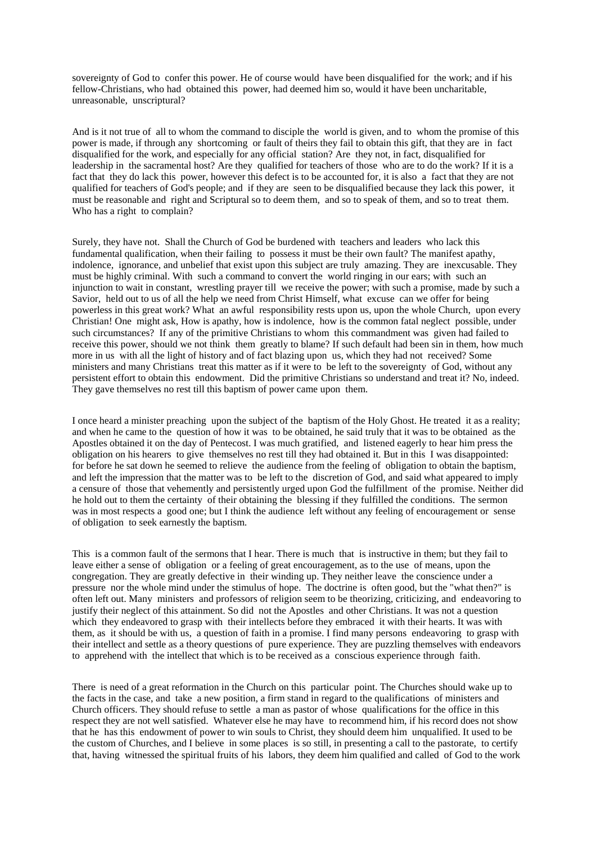sovereignty of God to confer this power. He of course would have been disqualified for the work; and if his fellow-Christians, who had obtained this power, had deemed him so, would it have been uncharitable, unreasonable, unscriptural?

And is it not true of all to whom the command to disciple the world is given, and to whom the promise of this power is made, if through any shortcoming or fault of theirs they fail to obtain this gift, that they are in fact disqualified for the work, and especially for any official station? Are they not, in fact, disqualified for leadership in the sacramental host? Are they qualified for teachers of those who are to do the work? If it is a fact that they do lack this power, however this defect is to be accounted for, it is also a fact that they are not qualified for teachers of God's people; and if they are seen to be disqualified because they lack this power, it must be reasonable and right and Scriptural so to deem them, and so to speak of them, and so to treat them. Who has a right to complain?

Surely, they have not. Shall the Church of God be burdened with teachers and leaders who lack this fundamental qualification, when their failing to possess it must be their own fault? The manifest apathy, indolence, ignorance, and unbelief that exist upon this subject are truly amazing. They are inexcusable. They must be highly criminal. With such a command to convert the world ringing in our ears; with such an injunction to wait in constant, wrestling prayer till we receive the power; with such a promise, made by such a Savior, held out to us of all the help we need from Christ Himself, what excuse can we offer for being powerless in this great work? What an awful responsibility rests upon us, upon the whole Church, upon every Christian! One might ask, How is apathy, how is indolence, how is the common fatal neglect possible, under such circumstances? If any of the primitive Christians to whom this commandment was given had failed to receive this power, should we not think them greatly to blame? If such default had been sin in them, how much more in us with all the light of history and of fact blazing upon us, which they had not received? Some ministers and many Christians treat this matter as if it were to be left to the sovereignty of God, without any persistent effort to obtain this endowment. Did the primitive Christians so understand and treat it? No, indeed. They gave themselves no rest till this baptism of power came upon them.

I once heard a minister preaching upon the subject of the baptism of the Holy Ghost. He treated it as a reality; and when he came to the question of how it was to be obtained, he said truly that it was to be obtained as the Apostles obtained it on the day of Pentecost. I was much gratified, and listened eagerly to hear him press the obligation on his hearers to give themselves no rest till they had obtained it. But in this I was disappointed: for before he sat down he seemed to relieve the audience from the feeling of obligation to obtain the baptism, and left the impression that the matter was to be left to the discretion of God, and said what appeared to imply a censure of those that vehemently and persistently urged upon God the fulfillment of the promise. Neither did he hold out to them the certainty of their obtaining the blessing if they fulfilled the conditions. The sermon was in most respects a good one; but I think the audience left without any feeling of encouragement or sense of obligation to seek earnestly the baptism.

This is a common fault of the sermons that I hear. There is much that is instructive in them; but they fail to leave either a sense of obligation or a feeling of great encouragement, as to the use of means, upon the congregation. They are greatly defective in their winding up. They neither leave the conscience under a pressure nor the whole mind under the stimulus of hope. The doctrine is often good, but the "what then?" is often left out. Many ministers and professors of religion seem to be theorizing, criticizing, and endeavoring to justify their neglect of this attainment. So did not the Apostles and other Christians. It was not a question which they endeavored to grasp with their intellects before they embraced it with their hearts. It was with them, as it should be with us, a question of faith in a promise. I find many persons endeavoring to grasp with their intellect and settle as a theory questions of pure experience. They are puzzling themselves with endeavors to apprehend with the intellect that which is to be received as a conscious experience through faith.

There is need of a great reformation in the Church on this particular point. The Churches should wake up to the facts in the case, and take a new position, a firm stand in regard to the qualifications of ministers and Church officers. They should refuse to settle a man as pastor of whose qualifications for the office in this respect they are not well satisfied. Whatever else he may have to recommend him, if his record does not show that he has this endowment of power to win souls to Christ, they should deem him unqualified. It used to be the custom of Churches, and I believe in some places is so still, in presenting a call to the pastorate, to certify that, having witnessed the spiritual fruits of his labors, they deem him qualified and called of God to the work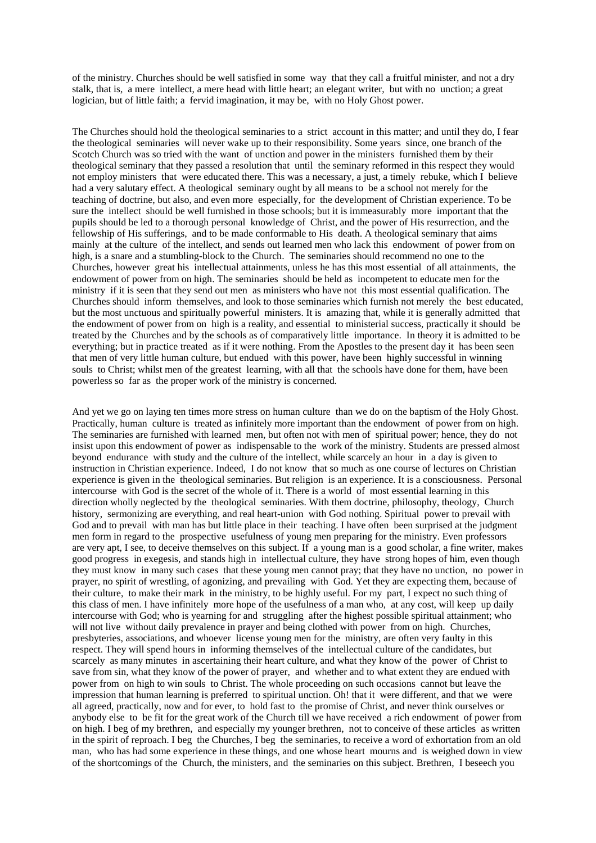of the ministry. Churches should be well satisfied in some way that they call a fruitful minister, and not a dry stalk, that is, a mere intellect, a mere head with little heart; an elegant writer, but with no unction; a great logician, but of little faith; a fervid imagination, it may be, with no Holy Ghost power.

The Churches should hold the theological seminaries to a strict account in this matter; and until they do, I fear the theological seminaries will never wake up to their responsibility. Some years since, one branch of the Scotch Church was so tried with the want of unction and power in the ministers furnished them by their theological seminary that they passed a resolution that until the seminary reformed in this respect they would not employ ministers that were educated there. This was a necessary, a just, a timely rebuke, which I believe had a very salutary effect. A theological seminary ought by all means to be a school not merely for the teaching of doctrine, but also, and even more especially, for the development of Christian experience. To be sure the intellect should be well furnished in those schools; but it is immeasurably more important that the pupils should be led to a thorough personal knowledge of Christ, and the power of His resurrection, and the fellowship of His sufferings, and to be made conformable to His death. A theological seminary that aims mainly at the culture of the intellect, and sends out learned men who lack this endowment of power from on high, is a snare and a stumbling-block to the Church. The seminaries should recommend no one to the Churches, however great his intellectual attainments, unless he has this most essential of all attainments, the endowment of power from on high. The seminaries should be held as incompetent to educate men for the ministry if it is seen that they send out men as ministers who have not this most essential qualification. The Churches should inform themselves, and look to those seminaries which furnish not merely the best educated, but the most unctuous and spiritually powerful ministers. It is amazing that, while it is generally admitted that the endowment of power from on high is a reality, and essential to ministerial success, practically it should be treated by the Churches and by the schools as of comparatively little importance. In theory it is admitted to be everything; but in practice treated as if it were nothing. From the Apostles to the present day it has been seen that men of very little human culture, but endued with this power, have been highly successful in winning souls to Christ; whilst men of the greatest learning, with all that the schools have done for them, have been powerless so far as the proper work of the ministry is concerned.

And yet we go on laying ten times more stress on human culture than we do on the baptism of the Holy Ghost. Practically, human culture is treated as infinitely more important than the endowment of power from on high. The seminaries are furnished with learned men, but often not with men of spiritual power; hence, they do not insist upon this endowment of power as indispensable to the work of the ministry. Students are pressed almost beyond endurance with study and the culture of the intellect, while scarcely an hour in a day is given to instruction in Christian experience. Indeed, I do not know that so much as one course of lectures on Christian experience is given in the theological seminaries. But religion is an experience. It is a consciousness. Personal intercourse with God is the secret of the whole of it. There is a world of most essential learning in this direction wholly neglected by the theological seminaries. With them doctrine, philosophy, theology, Church history, sermonizing are everything, and real heart-union with God nothing. Spiritual power to prevail with God and to prevail with man has but little place in their teaching. I have often been surprised at the judgment men form in regard to the prospective usefulness of young men preparing for the ministry. Even professors are very apt, I see, to deceive themselves on this subject. If a young man is a good scholar, a fine writer, makes good progress in exegesis, and stands high in intellectual culture, they have strong hopes of him, even though they must know in many such cases that these young men cannot pray; that they have no unction, no power in prayer, no spirit of wrestling, of agonizing, and prevailing with God. Yet they are expecting them, because of their culture, to make their mark in the ministry, to be highly useful. For my part, I expect no such thing of this class of men. I have infinitely more hope of the usefulness of a man who, at any cost, will keep up daily intercourse with God; who is yearning for and struggling after the highest possible spiritual attainment; who will not live without daily prevalence in prayer and being clothed with power from on high. Churches, presbyteries, associations, and whoever license young men for the ministry, are often very faulty in this respect. They will spend hours in informing themselves of the intellectual culture of the candidates, but scarcely as many minutes in ascertaining their heart culture, and what they know of the power of Christ to save from sin, what they know of the power of prayer, and whether and to what extent they are endued with power from on high to win souls to Christ. The whole proceeding on such occasions cannot but leave the impression that human learning is preferred to spiritual unction. Oh! that it were different, and that we were all agreed, practically, now and for ever, to hold fast to the promise of Christ, and never think ourselves or anybody else to be fit for the great work of the Church till we have received a rich endowment of power from on high. I beg of my brethren, and especially my younger brethren, not to conceive of these articles as written in the spirit of reproach. I beg the Churches, I beg the seminaries, to receive a word of exhortation from an old man, who has had some experience in these things, and one whose heart mourns and is weighed down in view of the shortcomings of the Church, the ministers, and the seminaries on this subject. Brethren, I beseech you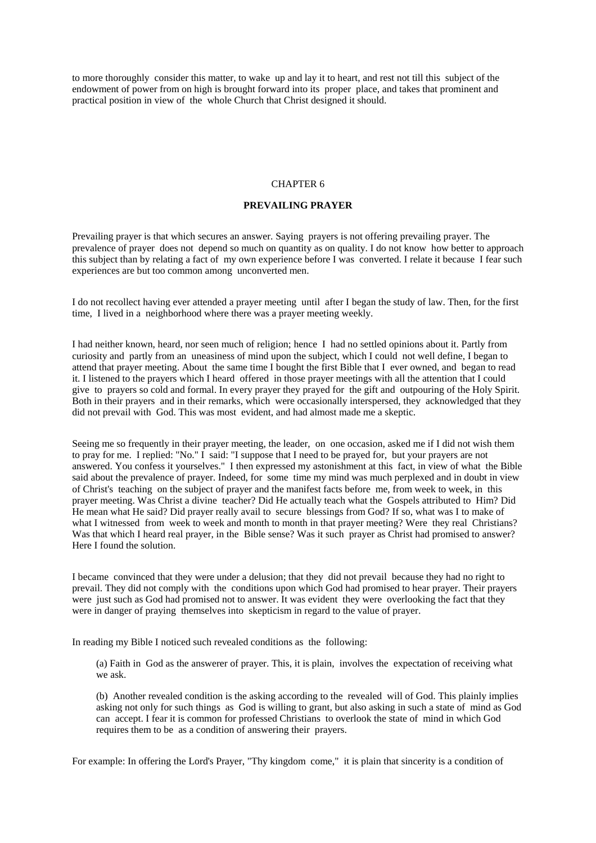to more thoroughly consider this matter, to wake up and lay it to heart, and rest not till this subject of the endowment of power from on high is brought forward into its proper place, and takes that prominent and practical position in view of the whole Church that Christ designed it should.

# CHAPTER 6

#### **PREVAILING PRAYER**

Prevailing prayer is that which secures an answer. Saying prayers is not offering prevailing prayer. The prevalence of prayer does not depend so much on quantity as on quality. I do not know how better to approach this subject than by relating a fact of my own experience before I was converted. I relate it because I fear such experiences are but too common among unconverted men.

I do not recollect having ever attended a prayer meeting until after I began the study of law. Then, for the first time, I lived in a neighborhood where there was a prayer meeting weekly.

I had neither known, heard, nor seen much of religion; hence I had no settled opinions about it. Partly from curiosity and partly from an uneasiness of mind upon the subject, which I could not well define, I began to attend that prayer meeting. About the same time I bought the first Bible that I ever owned, and began to read it. I listened to the prayers which I heard offered in those prayer meetings with all the attention that I could give to prayers so cold and formal. In every prayer they prayed for the gift and outpouring of the Holy Spirit. Both in their prayers and in their remarks, which were occasionally interspersed, they acknowledged that they did not prevail with God. This was most evident, and had almost made me a skeptic.

Seeing me so frequently in their prayer meeting, the leader, on one occasion, asked me if I did not wish them to pray for me. I replied: "No." I said: "I suppose that I need to be prayed for, but your prayers are not answered. You confess it yourselves." I then expressed my astonishment at this fact, in view of what the Bible said about the prevalence of prayer. Indeed, for some time my mind was much perplexed and in doubt in view of Christ's teaching on the subject of prayer and the manifest facts before me, from week to week, in this prayer meeting. Was Christ a divine teacher? Did He actually teach what the Gospels attributed to Him? Did He mean what He said? Did prayer really avail to secure blessings from God? If so, what was I to make of what I witnessed from week to week and month to month in that prayer meeting? Were they real Christians? Was that which I heard real prayer, in the Bible sense? Was it such prayer as Christ had promised to answer? Here I found the solution.

I became convinced that they were under a delusion; that they did not prevail because they had no right to prevail. They did not comply with the conditions upon which God had promised to hear prayer. Their prayers were just such as God had promised not to answer. It was evident they were overlooking the fact that they were in danger of praying themselves into skepticism in regard to the value of prayer.

In reading my Bible I noticed such revealed conditions as the following:

(a) Faith in God as the answerer of prayer. This, it is plain, involves the expectation of receiving what we ask.

(b) Another revealed condition is the asking according to the revealed will of God. This plainly implies asking not only for such things as God is willing to grant, but also asking in such a state of mind as God can accept. I fear it is common for professed Christians to overlook the state of mind in which God requires them to be as a condition of answering their prayers.

For example: In offering the Lord's Prayer, "Thy kingdom come," it is plain that sincerity is a condition of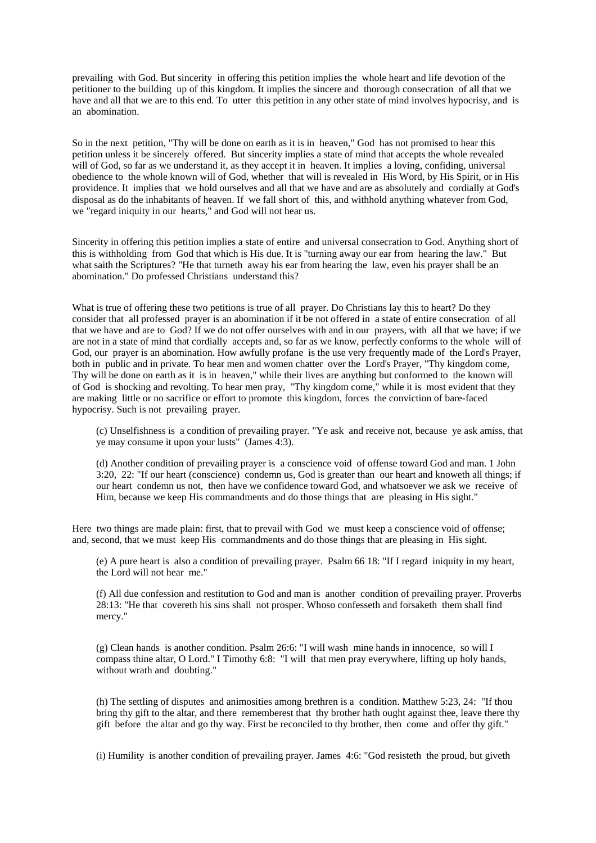prevailing with God. But sincerity in offering this petition implies the whole heart and life devotion of the petitioner to the building up of this kingdom. It implies the sincere and thorough consecration of all that we have and all that we are to this end. To utter this petition in any other state of mind involves hypocrisy, and is an abomination.

So in the next petition, "Thy will be done on earth as it is in heaven," God has not promised to hear this petition unless it be sincerely offered. But sincerity implies a state of mind that accepts the whole revealed will of God, so far as we understand it, as they accept it in heaven. It implies a loving, confiding, universal obedience to the whole known will of God, whether that will is revealed in His Word, by His Spirit, or in His providence. It implies that we hold ourselves and all that we have and are as absolutely and cordially at God's disposal as do the inhabitants of heaven. If we fall short of this, and withhold anything whatever from God, we "regard iniquity in our hearts," and God will not hear us.

Sincerity in offering this petition implies a state of entire and universal consecration to God. Anything short of this is withholding from God that which is His due. It is "turning away our ear from hearing the law." But what saith the Scriptures? "He that turneth away his ear from hearing the law, even his prayer shall be an abomination." Do professed Christians understand this?

What is true of offering these two petitions is true of all prayer. Do Christians lay this to heart? Do they consider that all professed prayer is an abomination if it be not offered in a state of entire consecration of all that we have and are to God? If we do not offer ourselves with and in our prayers, with all that we have; if we are not in a state of mind that cordially accepts and, so far as we know, perfectly conforms to the whole will of God, our prayer is an abomination. How awfully profane is the use very frequently made of the Lord's Prayer, both in public and in private. To hear men and women chatter over the Lord's Prayer, "Thy kingdom come, Thy will be done on earth as it is in heaven," while their lives are anything but conformed to the known will of God is shocking and revolting. To hear men pray, "Thy kingdom come," while it is most evident that they are making little or no sacrifice or effort to promote this kingdom, forces the conviction of bare-faced hypocrisy. Such is not prevailing prayer.

(c) Unselfishness is a condition of prevailing prayer. "Ye ask and receive not, because ye ask amiss, that ye may consume it upon your lusts" (James 4:3).

(d) Another condition of prevailing prayer is a conscience void of offense toward God and man. 1 John 3:20, 22: "If our heart (conscience) condemn us, God is greater than our heart and knoweth all things; if our heart condemn us not, then have we confidence toward God, and whatsoever we ask we receive of Him, because we keep His commandments and do those things that are pleasing in His sight."

Here two things are made plain: first, that to prevail with God we must keep a conscience void of offense; and, second, that we must keep His commandments and do those things that are pleasing in His sight.

(e) A pure heart is also a condition of prevailing prayer. Psalm 66 18: "If I regard iniquity in my heart, the Lord will not hear me."

(f) All due confession and restitution to God and man is another condition of prevailing prayer. Proverbs 28:13: "He that covereth his sins shall not prosper. Whoso confesseth and forsaketh them shall find mercy."

(g) Clean hands is another condition. Psalm 26:6: "I will wash mine hands in innocence, so will I compass thine altar, O Lord." I Timothy 6:8: "I will that men pray everywhere, lifting up holy hands, without wrath and doubting."

(h) The settling of disputes and animosities among brethren is a condition. Matthew 5:23, 24: "If thou bring thy gift to the altar, and there rememberest that thy brother hath ought against thee, leave there thy gift before the altar and go thy way. First be reconciled to thy brother, then come and offer thy gift."

(i) Humility is another condition of prevailing prayer. James 4:6: "God resisteth the proud, but giveth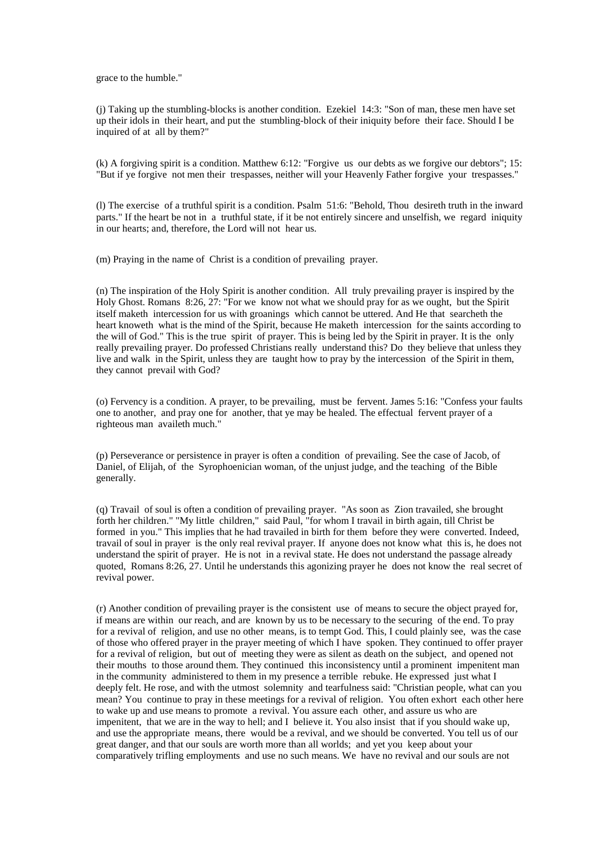grace to the humble."

(j) Taking up the stumbling-blocks is another condition. Ezekiel 14:3: "Son of man, these men have set up their idols in their heart, and put the stumbling-block of their iniquity before their face. Should I be inquired of at all by them?"

(k) A forgiving spirit is a condition. Matthew 6:12: "Forgive us our debts as we forgive our debtors"; 15: "But if ye forgive not men their trespasses, neither will your Heavenly Father forgive your trespasses."

(l) The exercise of a truthful spirit is a condition. Psalm 51:6: "Behold, Thou desireth truth in the inward parts." If the heart be not in a truthful state, if it be not entirely sincere and unselfish, we regard iniquity in our hearts; and, therefore, the Lord will not hear us.

(m) Praying in the name of Christ is a condition of prevailing prayer.

(n) The inspiration of the Holy Spirit is another condition. All truly prevailing prayer is inspired by the Holy Ghost. Romans 8:26, 27: "For we know not what we should pray for as we ought, but the Spirit itself maketh intercession for us with groanings which cannot be uttered. And He that searcheth the heart knoweth what is the mind of the Spirit, because He maketh intercession for the saints according to the will of God." This is the true spirit of prayer. This is being led by the Spirit in prayer. It is the only really prevailing prayer. Do professed Christians really understand this? Do they believe that unless they live and walk in the Spirit, unless they are taught how to pray by the intercession of the Spirit in them, they cannot prevail with God?

(o) Fervency is a condition. A prayer, to be prevailing, must be fervent. James 5:16: "Confess your faults one to another, and pray one for another, that ye may be healed. The effectual fervent prayer of a righteous man availeth much."

(p) Perseverance or persistence in prayer is often a condition of prevailing. See the case of Jacob, of Daniel, of Elijah, of the Syrophoenician woman, of the unjust judge, and the teaching of the Bible generally.

(q) Travail of soul is often a condition of prevailing prayer. "As soon as Zion travailed, she brought forth her children." "My little children," said Paul, "for whom I travail in birth again, till Christ be formed in you." This implies that he had travailed in birth for them before they were converted. Indeed, travail of soul in prayer is the only real revival prayer. If anyone does not know what this is, he does not understand the spirit of prayer. He is not in a revival state. He does not understand the passage already quoted, Romans 8:26, 27. Until he understands this agonizing prayer he does not know the real secret of revival power.

(r) Another condition of prevailing prayer is the consistent use of means to secure the object prayed for, if means are within our reach, and are known by us to be necessary to the securing of the end. To pray for a revival of religion, and use no other means, is to tempt God. This, I could plainly see, was the case of those who offered prayer in the prayer meeting of which I have spoken. They continued to offer prayer for a revival of religion, but out of meeting they were as silent as death on the subject, and opened not their mouths to those around them. They continued this inconsistency until a prominent impenitent man in the community administered to them in my presence a terrible rebuke. He expressed just what I deeply felt. He rose, and with the utmost solemnity and tearfulness said: "Christian people, what can you mean? You continue to pray in these meetings for a revival of religion. You often exhort each other here to wake up and use means to promote a revival. You assure each other, and assure us who are impenitent, that we are in the way to hell; and I believe it. You also insist that if you should wake up, and use the appropriate means, there would be a revival, and we should be converted. You tell us of our great danger, and that our souls are worth more than all worlds; and yet you keep about your comparatively trifling employments and use no such means. We have no revival and our souls are not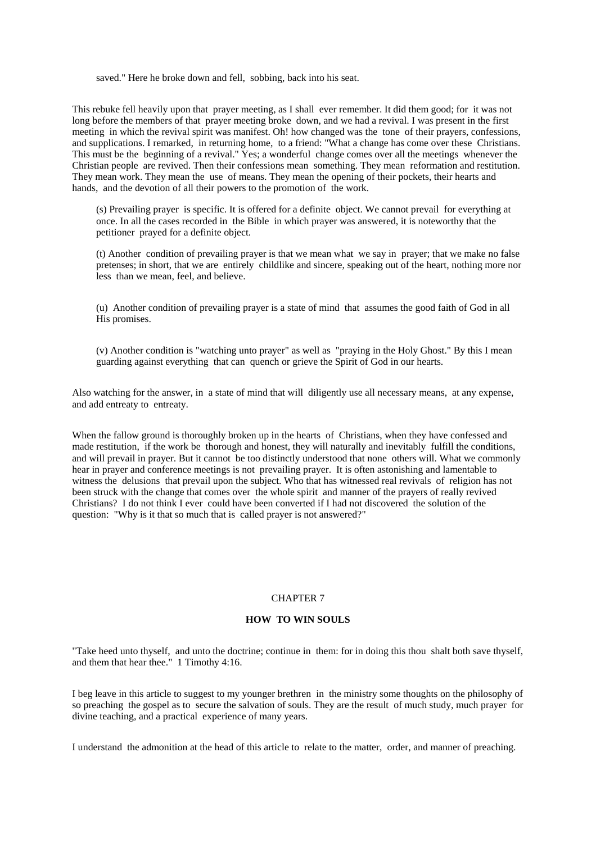saved." Here he broke down and fell, sobbing, back into his seat.

This rebuke fell heavily upon that prayer meeting, as I shall ever remember. It did them good; for it was not long before the members of that prayer meeting broke down, and we had a revival. I was present in the first meeting in which the revival spirit was manifest. Oh! how changed was the tone of their prayers, confessions, and supplications. I remarked, in returning home, to a friend: "What a change has come over these Christians. This must be the beginning of a revival." Yes; a wonderful change comes over all the meetings whenever the Christian people are revived. Then their confessions mean something. They mean reformation and restitution. They mean work. They mean the use of means. They mean the opening of their pockets, their hearts and hands, and the devotion of all their powers to the promotion of the work.

(s) Prevailing prayer is specific. It is offered for a definite object. We cannot prevail for everything at once. In all the cases recorded in the Bible in which prayer was answered, it is noteworthy that the petitioner prayed for a definite object.

(t) Another condition of prevailing prayer is that we mean what we say in prayer; that we make no false pretenses; in short, that we are entirely childlike and sincere, speaking out of the heart, nothing more nor less than we mean, feel, and believe.

(u) Another condition of prevailing prayer is a state of mind that assumes the good faith of God in all His promises.

(v) Another condition is "watching unto prayer" as well as "praying in the Holy Ghost." By this I mean guarding against everything that can quench or grieve the Spirit of God in our hearts.

Also watching for the answer, in a state of mind that will diligently use all necessary means, at any expense, and add entreaty to entreaty.

When the fallow ground is thoroughly broken up in the hearts of Christians, when they have confessed and made restitution, if the work be thorough and honest, they will naturally and inevitably fulfill the conditions, and will prevail in prayer. But it cannot be too distinctly understood that none others will. What we commonly hear in prayer and conference meetings is not prevailing prayer. It is often astonishing and lamentable to witness the delusions that prevail upon the subject. Who that has witnessed real revivals of religion has not been struck with the change that comes over the whole spirit and manner of the prayers of really revived Christians? I do not think I ever could have been converted if I had not discovered the solution of the question: "Why is it that so much that is called prayer is not answered?"

# CHAPTER 7

# **HOW TO WIN SOULS**

"Take heed unto thyself, and unto the doctrine; continue in them: for in doing this thou shalt both save thyself, and them that hear thee." 1 Timothy 4:16.

I beg leave in this article to suggest to my younger brethren in the ministry some thoughts on the philosophy of so preaching the gospel as to secure the salvation of souls. They are the result of much study, much prayer for divine teaching, and a practical experience of many years.

I understand the admonition at the head of this article to relate to the matter, order, and manner of preaching.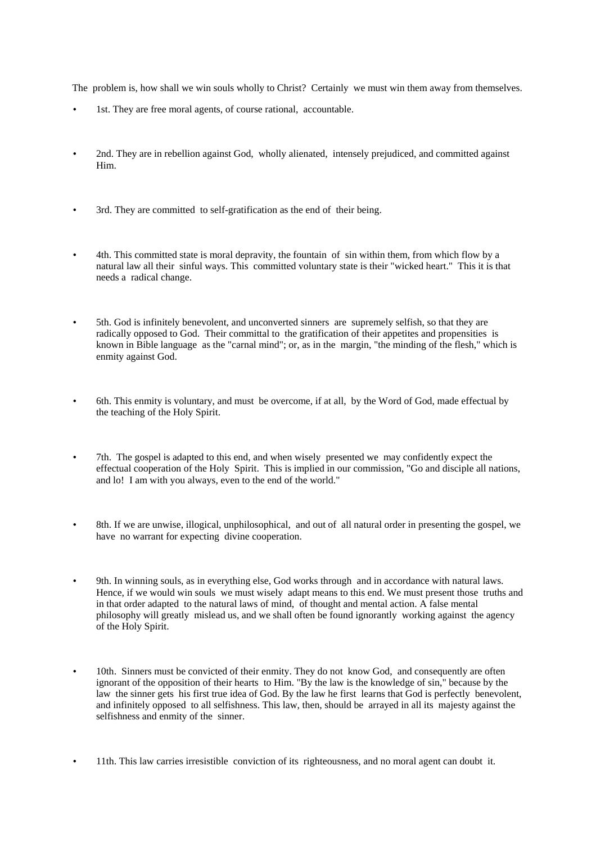The problem is, how shall we win souls wholly to Christ? Certainly we must win them away from themselves.

- 1st. They are free moral agents, of course rational, accountable.
- 2nd. They are in rebellion against God, wholly alienated, intensely prejudiced, and committed against Him.
- 3rd. They are committed to self-gratification as the end of their being.
- 4th. This committed state is moral depravity, the fountain of sin within them, from which flow by a natural law all their sinful ways. This committed voluntary state is their "wicked heart." This it is that needs a radical change.
- 5th. God is infinitely benevolent, and unconverted sinners are supremely selfish, so that they are radically opposed to God. Their committal to the gratification of their appetites and propensities is known in Bible language as the "carnal mind"; or, as in the margin, "the minding of the flesh," which is enmity against God.
- 6th. This enmity is voluntary, and must be overcome, if at all, by the Word of God, made effectual by the teaching of the Holy Spirit.
- 7th. The gospel is adapted to this end, and when wisely presented we may confidently expect the effectual cooperation of the Holy Spirit. This is implied in our commission, "Go and disciple all nations, and lo! I am with you always, even to the end of the world."
- 8th. If we are unwise, illogical, unphilosophical, and out of all natural order in presenting the gospel, we have no warrant for expecting divine cooperation.
- 9th. In winning souls, as in everything else, God works through and in accordance with natural laws. Hence, if we would win souls we must wisely adapt means to this end. We must present those truths and in that order adapted to the natural laws of mind, of thought and mental action. A false mental philosophy will greatly mislead us, and we shall often be found ignorantly working against the agency of the Holy Spirit.
- 10th. Sinners must be convicted of their enmity. They do not know God, and consequently are often ignorant of the opposition of their hearts to Him. "By the law is the knowledge of sin," because by the law the sinner gets his first true idea of God. By the law he first learns that God is perfectly benevolent, and infinitely opposed to all selfishness. This law, then, should be arrayed in all its majesty against the selfishness and enmity of the sinner.
- 11th. This law carries irresistible conviction of its righteousness, and no moral agent can doubt it.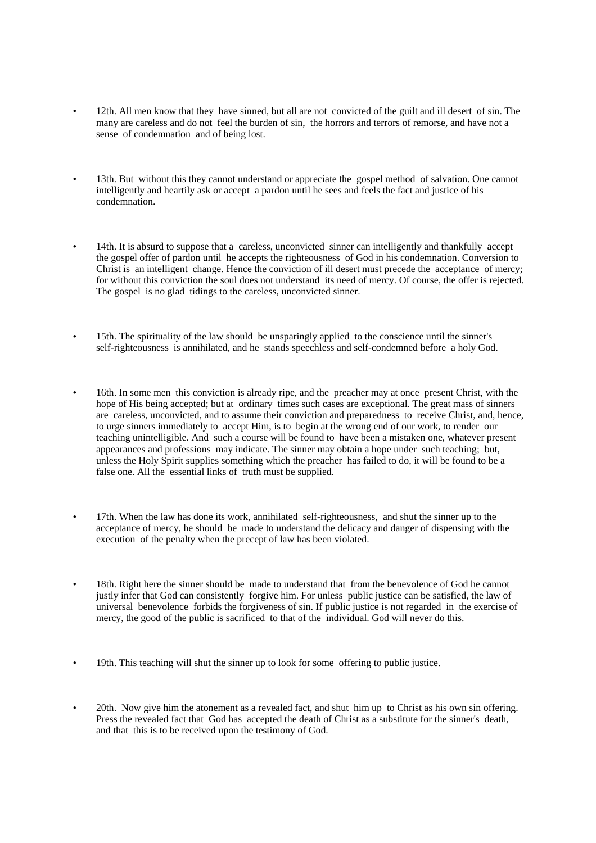- 12th. All men know that they have sinned, but all are not convicted of the guilt and ill desert of sin. The many are careless and do not feel the burden of sin, the horrors and terrors of remorse, and have not a sense of condemnation and of being lost.
- 13th. But without this they cannot understand or appreciate the gospel method of salvation. One cannot intelligently and heartily ask or accept a pardon until he sees and feels the fact and justice of his condemnation.
- 14th. It is absurd to suppose that a careless, unconvicted sinner can intelligently and thankfully accept the gospel offer of pardon until he accepts the righteousness of God in his condemnation. Conversion to Christ is an intelligent change. Hence the conviction of ill desert must precede the acceptance of mercy; for without this conviction the soul does not understand its need of mercy. Of course, the offer is rejected. The gospel is no glad tidings to the careless, unconvicted sinner.
- 15th. The spirituality of the law should be unsparingly applied to the conscience until the sinner's self-righteousness is annihilated, and he stands speechless and self-condemned before a holy God.
- 16th. In some men this conviction is already ripe, and the preacher may at once present Christ, with the hope of His being accepted; but at ordinary times such cases are exceptional. The great mass of sinners are careless, unconvicted, and to assume their conviction and preparedness to receive Christ, and, hence, to urge sinners immediately to accept Him, is to begin at the wrong end of our work, to render our teaching unintelligible. And such a course will be found to have been a mistaken one, whatever present appearances and professions may indicate. The sinner may obtain a hope under such teaching; but, unless the Holy Spirit supplies something which the preacher has failed to do, it will be found to be a false one. All the essential links of truth must be supplied.
- 17th. When the law has done its work, annihilated self-righteousness, and shut the sinner up to the acceptance of mercy, he should be made to understand the delicacy and danger of dispensing with the execution of the penalty when the precept of law has been violated.
- 18th. Right here the sinner should be made to understand that from the benevolence of God he cannot justly infer that God can consistently forgive him. For unless public justice can be satisfied, the law of universal benevolence forbids the forgiveness of sin. If public justice is not regarded in the exercise of mercy, the good of the public is sacrificed to that of the individual. God will never do this.
- 19th. This teaching will shut the sinner up to look for some offering to public justice.
- 20th. Now give him the atonement as a revealed fact, and shut him up to Christ as his own sin offering. Press the revealed fact that God has accepted the death of Christ as a substitute for the sinner's death, and that this is to be received upon the testimony of God.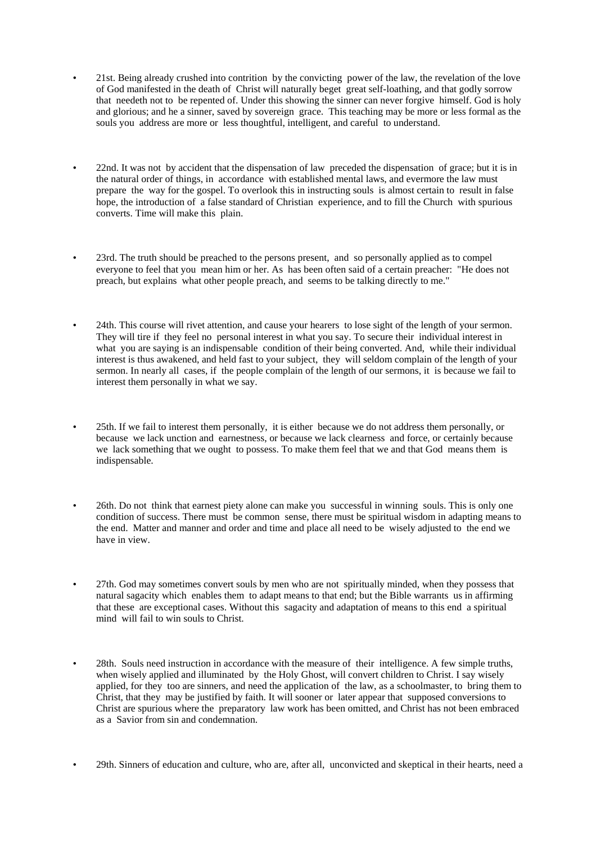- 21st. Being already crushed into contrition by the convicting power of the law, the revelation of the love of God manifested in the death of Christ will naturally beget great self-loathing, and that godly sorrow that needeth not to be repented of. Under this showing the sinner can never forgive himself. God is holy and glorious; and he a sinner, saved by sovereign grace. This teaching may be more or less formal as the souls you address are more or less thoughtful, intelligent, and careful to understand.
- 22nd. It was not by accident that the dispensation of law preceded the dispensation of grace; but it is in the natural order of things, in accordance with established mental laws, and evermore the law must prepare the way for the gospel. To overlook this in instructing souls is almost certain to result in false hope, the introduction of a false standard of Christian experience, and to fill the Church with spurious converts. Time will make this plain.
- 23rd. The truth should be preached to the persons present, and so personally applied as to compel everyone to feel that you mean him or her. As has been often said of a certain preacher: "He does not preach, but explains what other people preach, and seems to be talking directly to me."
- 24th. This course will rivet attention, and cause your hearers to lose sight of the length of your sermon. They will tire if they feel no personal interest in what you say. To secure their individual interest in what you are saying is an indispensable condition of their being converted. And, while their individual interest is thus awakened, and held fast to your subject, they will seldom complain of the length of your sermon. In nearly all cases, if the people complain of the length of our sermons, it is because we fail to interest them personally in what we say.
- 25th. If we fail to interest them personally, it is either because we do not address them personally, or because we lack unction and earnestness, or because we lack clearness and force, or certainly because we lack something that we ought to possess. To make them feel that we and that God means them is indispensable.
- 26th. Do not think that earnest piety alone can make you successful in winning souls. This is only one condition of success. There must be common sense, there must be spiritual wisdom in adapting means to the end. Matter and manner and order and time and place all need to be wisely adjusted to the end we have in view.
- 27th. God may sometimes convert souls by men who are not spiritually minded, when they possess that natural sagacity which enables them to adapt means to that end; but the Bible warrants us in affirming that these are exceptional cases. Without this sagacity and adaptation of means to this end a spiritual mind will fail to win souls to Christ.
- 28th. Souls need instruction in accordance with the measure of their intelligence. A few simple truths, when wisely applied and illuminated by the Holy Ghost, will convert children to Christ. I say wisely applied, for they too are sinners, and need the application of the law, as a schoolmaster, to bring them to Christ, that they may be justified by faith. It will sooner or later appear that supposed conversions to Christ are spurious where the preparatory law work has been omitted, and Christ has not been embraced as a Savior from sin and condemnation.
- 29th. Sinners of education and culture, who are, after all, unconvicted and skeptical in their hearts, need a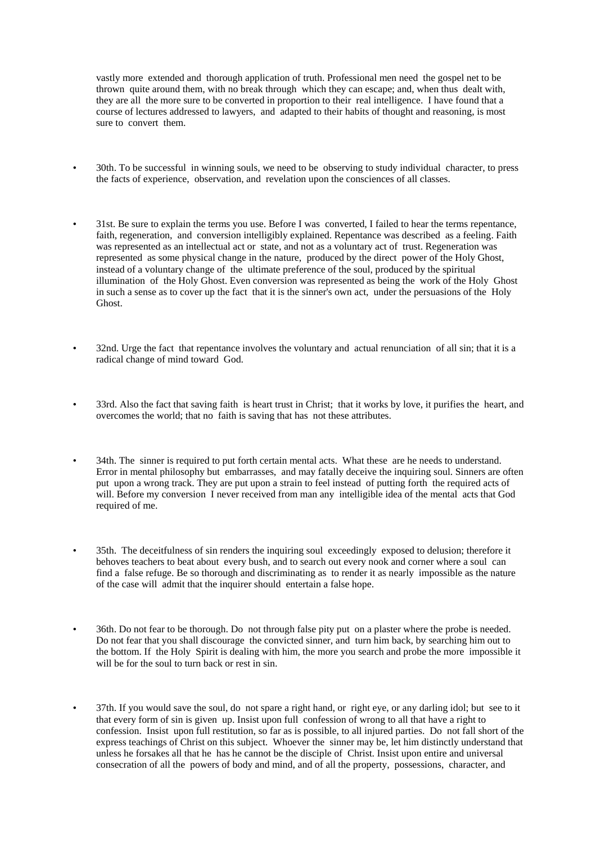vastly more extended and thorough application of truth. Professional men need the gospel net to be thrown quite around them, with no break through which they can escape; and, when thus dealt with, they are all the more sure to be converted in proportion to their real intelligence. I have found that a course of lectures addressed to lawyers, and adapted to their habits of thought and reasoning, is most sure to convert them.

- 30th. To be successful in winning souls, we need to be observing to study individual character, to press the facts of experience, observation, and revelation upon the consciences of all classes.
- 31st. Be sure to explain the terms you use. Before I was converted, I failed to hear the terms repentance, faith, regeneration, and conversion intelligibly explained. Repentance was described as a feeling. Faith was represented as an intellectual act or state, and not as a voluntary act of trust. Regeneration was represented as some physical change in the nature, produced by the direct power of the Holy Ghost, instead of a voluntary change of the ultimate preference of the soul, produced by the spiritual illumination of the Holy Ghost. Even conversion was represented as being the work of the Holy Ghost in such a sense as to cover up the fact that it is the sinner's own act, under the persuasions of the Holy Ghost.
- 32nd. Urge the fact that repentance involves the voluntary and actual renunciation of all sin; that it is a radical change of mind toward God.
- 33rd. Also the fact that saving faith is heart trust in Christ; that it works by love, it purifies the heart, and overcomes the world; that no faith is saving that has not these attributes.
- 34th. The sinner is required to put forth certain mental acts. What these are he needs to understand. Error in mental philosophy but embarrasses, and may fatally deceive the inquiring soul. Sinners are often put upon a wrong track. They are put upon a strain to feel instead of putting forth the required acts of will. Before my conversion I never received from man any intelligible idea of the mental acts that God required of me.
- 35th. The deceitfulness of sin renders the inquiring soul exceedingly exposed to delusion; therefore it behoves teachers to beat about every bush, and to search out every nook and corner where a soul can find a false refuge. Be so thorough and discriminating as to render it as nearly impossible as the nature of the case will admit that the inquirer should entertain a false hope.
- 36th. Do not fear to be thorough. Do not through false pity put on a plaster where the probe is needed. Do not fear that you shall discourage the convicted sinner, and turn him back, by searching him out to the bottom. If the Holy Spirit is dealing with him, the more you search and probe the more impossible it will be for the soul to turn back or rest in sin.
- 37th. If you would save the soul, do not spare a right hand, or right eye, or any darling idol; but see to it that every form of sin is given up. Insist upon full confession of wrong to all that have a right to confession. Insist upon full restitution, so far as is possible, to all injured parties. Do not fall short of the express teachings of Christ on this subject. Whoever the sinner may be, let him distinctly understand that unless he forsakes all that he has he cannot be the disciple of Christ. Insist upon entire and universal consecration of all the powers of body and mind, and of all the property, possessions, character, and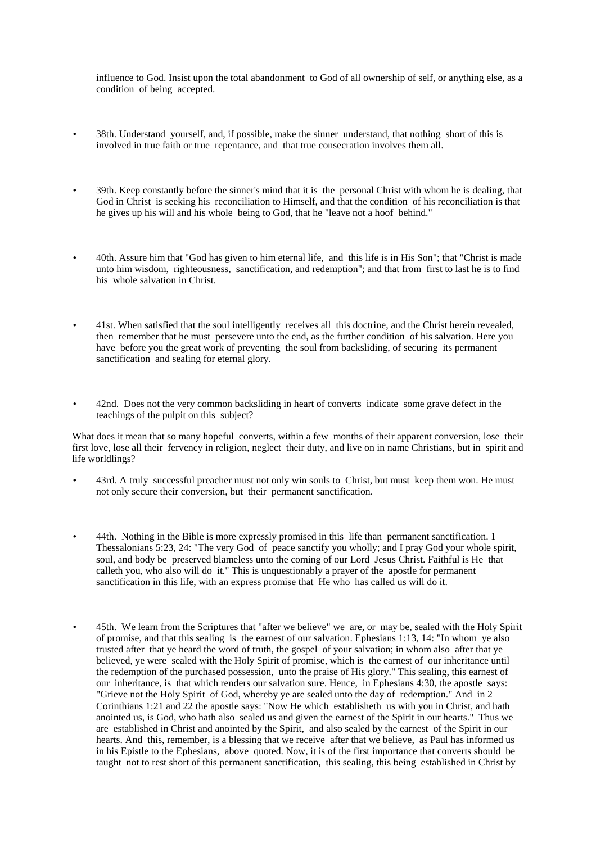influence to God. Insist upon the total abandonment to God of all ownership of self, or anything else, as a condition of being accepted.

- 38th. Understand yourself, and, if possible, make the sinner understand, that nothing short of this is involved in true faith or true repentance, and that true consecration involves them all.
- 39th. Keep constantly before the sinner's mind that it is the personal Christ with whom he is dealing, that God in Christ is seeking his reconciliation to Himself, and that the condition of his reconciliation is that he gives up his will and his whole being to God, that he "leave not a hoof behind."
- 40th. Assure him that "God has given to him eternal life, and this life is in His Son"; that "Christ is made unto him wisdom, righteousness, sanctification, and redemption"; and that from first to last he is to find his whole salvation in Christ.
- 41st. When satisfied that the soul intelligently receives all this doctrine, and the Christ herein revealed, then remember that he must persevere unto the end, as the further condition of his salvation. Here you have before you the great work of preventing the soul from backsliding, of securing its permanent sanctification and sealing for eternal glory.
- 42nd. Does not the very common backsliding in heart of converts indicate some grave defect in the teachings of the pulpit on this subject?

What does it mean that so many hopeful converts, within a few months of their apparent conversion, lose their first love, lose all their fervency in religion, neglect their duty, and live on in name Christians, but in spirit and life worldlings?

- 43rd. A truly successful preacher must not only win souls to Christ, but must keep them won. He must not only secure their conversion, but their permanent sanctification.
- 44th. Nothing in the Bible is more expressly promised in this life than permanent sanctification. 1 Thessalonians 5:23, 24: "The very God of peace sanctify you wholly; and I pray God your whole spirit, soul, and body be preserved blameless unto the coming of our Lord Jesus Christ. Faithful is He that calleth you, who also will do it." This is unquestionably a prayer of the apostle for permanent sanctification in this life, with an express promise that He who has called us will do it.
- 45th. We learn from the Scriptures that "after we believe" we are, or may be, sealed with the Holy Spirit of promise, and that this sealing is the earnest of our salvation. Ephesians 1:13, 14: "In whom ye also trusted after that ye heard the word of truth, the gospel of your salvation; in whom also after that ye believed, ye were sealed with the Holy Spirit of promise, which is the earnest of our inheritance until the redemption of the purchased possession, unto the praise of His glory." This sealing, this earnest of our inheritance, is that which renders our salvation sure. Hence, in Ephesians 4:30, the apostle says: "Grieve not the Holy Spirit of God, whereby ye are sealed unto the day of redemption." And in 2 Corinthians 1:21 and 22 the apostle says: "Now He which establisheth us with you in Christ, and hath anointed us, is God, who hath also sealed us and given the earnest of the Spirit in our hearts." Thus we are established in Christ and anointed by the Spirit, and also sealed by the earnest of the Spirit in our hearts. And this, remember, is a blessing that we receive after that we believe, as Paul has informed us in his Epistle to the Ephesians, above quoted. Now, it is of the first importance that converts should be taught not to rest short of this permanent sanctification, this sealing, this being established in Christ by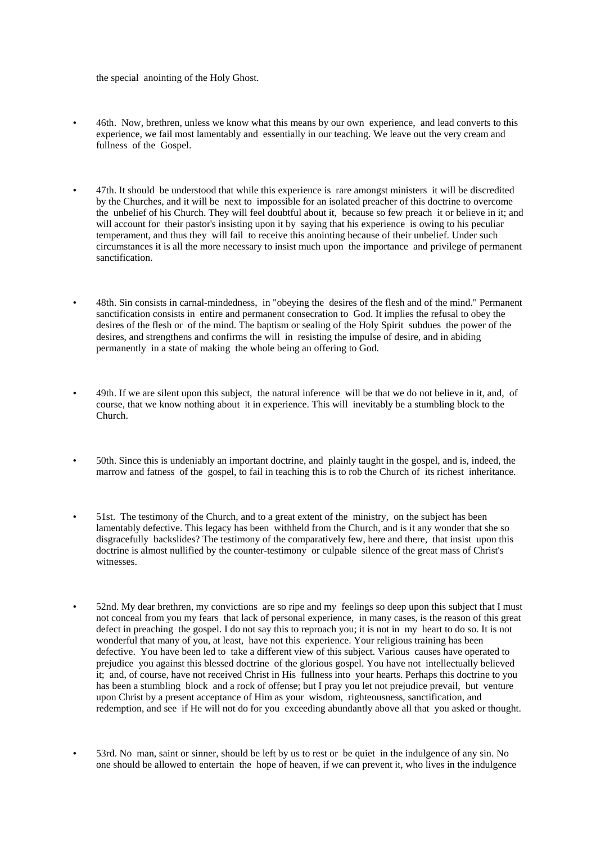the special anointing of the Holy Ghost.

- 46th. Now, brethren, unless we know what this means by our own experience, and lead converts to this experience, we fail most lamentably and essentially in our teaching. We leave out the very cream and fullness of the Gospel.
- 47th. It should be understood that while this experience is rare amongst ministers it will be discredited by the Churches, and it will be next to impossible for an isolated preacher of this doctrine to overcome the unbelief of his Church. They will feel doubtful about it, because so few preach it or believe in it; and will account for their pastor's insisting upon it by saying that his experience is owing to his peculiar temperament, and thus they will fail to receive this anointing because of their unbelief. Under such circumstances it is all the more necessary to insist much upon the importance and privilege of permanent sanctification.
- 48th. Sin consists in carnal-mindedness, in "obeying the desires of the flesh and of the mind." Permanent sanctification consists in entire and permanent consecration to God. It implies the refusal to obey the desires of the flesh or of the mind. The baptism or sealing of the Holy Spirit subdues the power of the desires, and strengthens and confirms the will in resisting the impulse of desire, and in abiding permanently in a state of making the whole being an offering to God.
- 49th. If we are silent upon this subject, the natural inference will be that we do not believe in it, and, of course, that we know nothing about it in experience. This will inevitably be a stumbling block to the Church.
- 50th. Since this is undeniably an important doctrine, and plainly taught in the gospel, and is, indeed, the marrow and fatness of the gospel, to fail in teaching this is to rob the Church of its richest inheritance.
- 51st. The testimony of the Church, and to a great extent of the ministry, on the subject has been lamentably defective. This legacy has been withheld from the Church, and is it any wonder that she so disgracefully backslides? The testimony of the comparatively few, here and there, that insist upon this doctrine is almost nullified by the counter-testimony or culpable silence of the great mass of Christ's witnesses.
- 52nd. My dear brethren, my convictions are so ripe and my feelings so deep upon this subject that I must not conceal from you my fears that lack of personal experience, in many cases, is the reason of this great defect in preaching the gospel. I do not say this to reproach you; it is not in my heart to do so. It is not wonderful that many of you, at least, have not this experience. Your religious training has been defective. You have been led to take a different view of this subject. Various causes have operated to prejudice you against this blessed doctrine of the glorious gospel. You have not intellectually believed it; and, of course, have not received Christ in His fullness into your hearts. Perhaps this doctrine to you has been a stumbling block and a rock of offense; but I pray you let not prejudice prevail, but venture upon Christ by a present acceptance of Him as your wisdom, righteousness, sanctification, and redemption, and see if He will not do for you exceeding abundantly above all that you asked or thought.
- 53rd. No man, saint or sinner, should be left by us to rest or be quiet in the indulgence of any sin. No one should be allowed to entertain the hope of heaven, if we can prevent it, who lives in the indulgence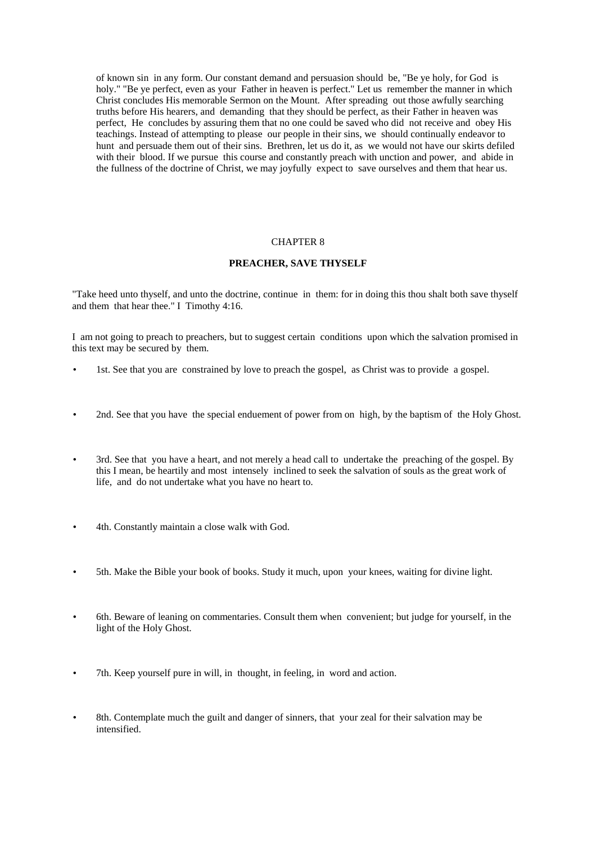of known sin in any form. Our constant demand and persuasion should be, "Be ye holy, for God is holy." "Be ye perfect, even as your Father in heaven is perfect." Let us remember the manner in which Christ concludes His memorable Sermon on the Mount. After spreading out those awfully searching truths before His hearers, and demanding that they should be perfect, as their Father in heaven was perfect, He concludes by assuring them that no one could be saved who did not receive and obey His teachings. Instead of attempting to please our people in their sins, we should continually endeavor to hunt and persuade them out of their sins. Brethren, let us do it, as we would not have our skirts defiled with their blood. If we pursue this course and constantly preach with unction and power, and abide in the fullness of the doctrine of Christ, we may joyfully expect to save ourselves and them that hear us.

# CHAPTER 8

# **PREACHER, SAVE THYSELF**

"Take heed unto thyself, and unto the doctrine, continue in them: for in doing this thou shalt both save thyself and them that hear thee." I Timothy 4:16.

I am not going to preach to preachers, but to suggest certain conditions upon which the salvation promised in this text may be secured by them.

- 1st. See that you are constrained by love to preach the gospel, as Christ was to provide a gospel.
- 2nd. See that you have the special enduement of power from on high, by the baptism of the Holy Ghost.
- 3rd. See that you have a heart, and not merely a head call to undertake the preaching of the gospel. By this I mean, be heartily and most intensely inclined to seek the salvation of souls as the great work of life, and do not undertake what you have no heart to.
- 4th. Constantly maintain a close walk with God.
- 5th. Make the Bible your book of books. Study it much, upon your knees, waiting for divine light.
- 6th. Beware of leaning on commentaries. Consult them when convenient; but judge for yourself, in the light of the Holy Ghost.
- 7th. Keep yourself pure in will, in thought, in feeling, in word and action.
- 8th. Contemplate much the guilt and danger of sinners, that your zeal for their salvation may be intensified.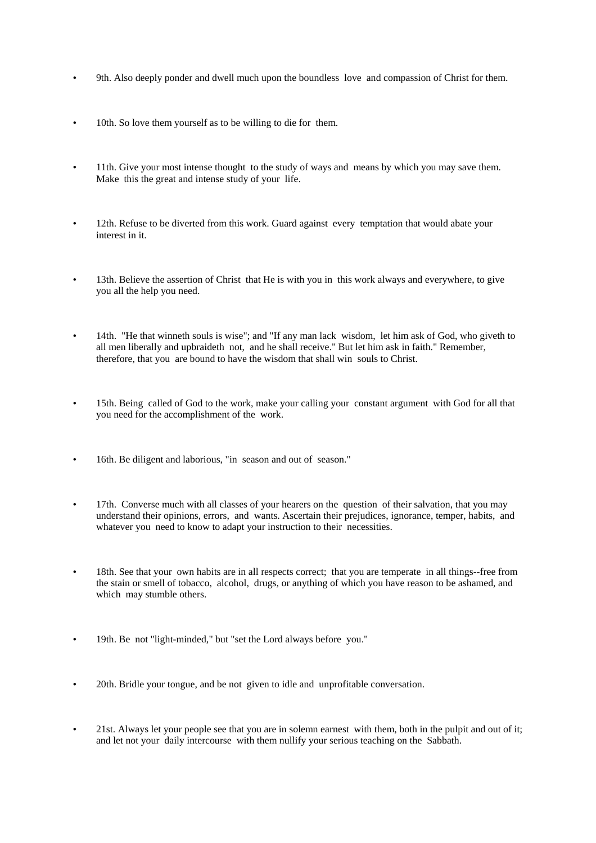- 9th. Also deeply ponder and dwell much upon the boundless love and compassion of Christ for them.
- 10th. So love them yourself as to be willing to die for them.
- 11th. Give your most intense thought to the study of ways and means by which you may save them. Make this the great and intense study of your life.
- 12th. Refuse to be diverted from this work. Guard against every temptation that would abate your interest in it.
- 13th. Believe the assertion of Christ that He is with you in this work always and everywhere, to give you all the help you need.
- 14th. "He that winneth souls is wise"; and "If any man lack wisdom, let him ask of God, who giveth to all men liberally and upbraideth not, and he shall receive." But let him ask in faith." Remember, therefore, that you are bound to have the wisdom that shall win souls to Christ.
- 15th. Being called of God to the work, make your calling your constant argument with God for all that you need for the accomplishment of the work.
- 16th. Be diligent and laborious, "in season and out of season."
- 17th. Converse much with all classes of your hearers on the question of their salvation, that you may understand their opinions, errors, and wants. Ascertain their prejudices, ignorance, temper, habits, and whatever you need to know to adapt your instruction to their necessities.
- 18th. See that your own habits are in all respects correct; that you are temperate in all things--free from the stain or smell of tobacco, alcohol, drugs, or anything of which you have reason to be ashamed, and which may stumble others.
- 19th. Be not "light-minded," but "set the Lord always before you."
- 20th. Bridle your tongue, and be not given to idle and unprofitable conversation.
- 21st. Always let your people see that you are in solemn earnest with them, both in the pulpit and out of it; and let not your daily intercourse with them nullify your serious teaching on the Sabbath.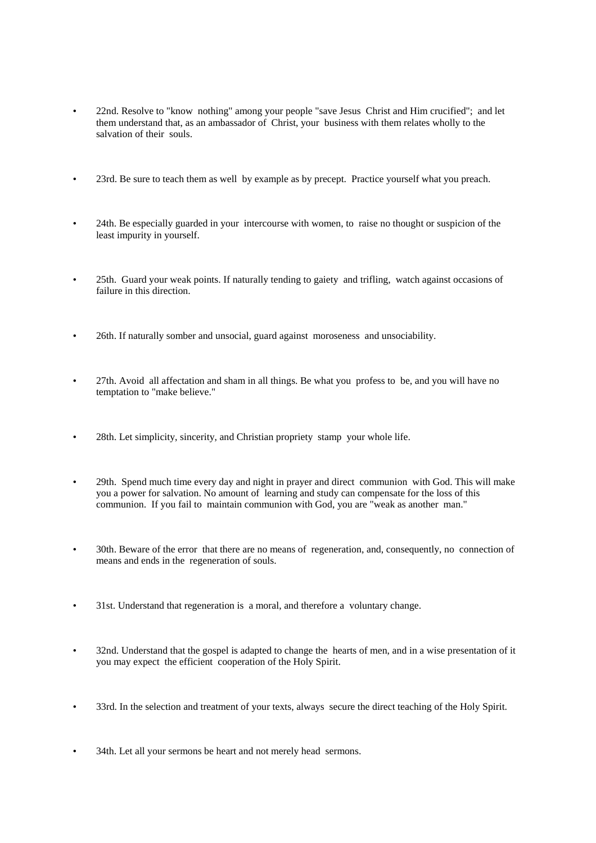- 22nd. Resolve to "know nothing" among your people "save Jesus Christ and Him crucified"; and let them understand that, as an ambassador of Christ, your business with them relates wholly to the salvation of their souls.
- 23rd. Be sure to teach them as well by example as by precept. Practice yourself what you preach.
- 24th. Be especially guarded in your intercourse with women, to raise no thought or suspicion of the least impurity in yourself.
- 25th. Guard your weak points. If naturally tending to gaiety and trifling, watch against occasions of failure in this direction.
- 26th. If naturally somber and unsocial, guard against moroseness and unsociability.
- 27th. Avoid all affectation and sham in all things. Be what you profess to be, and you will have no temptation to "make believe."
- 28th. Let simplicity, sincerity, and Christian propriety stamp your whole life.
- 29th. Spend much time every day and night in prayer and direct communion with God. This will make you a power for salvation. No amount of learning and study can compensate for the loss of this communion. If you fail to maintain communion with God, you are "weak as another man."
- 30th. Beware of the error that there are no means of regeneration, and, consequently, no connection of means and ends in the regeneration of souls.
- 31st. Understand that regeneration is a moral, and therefore a voluntary change.
- 32nd. Understand that the gospel is adapted to change the hearts of men, and in a wise presentation of it you may expect the efficient cooperation of the Holy Spirit.
- 33rd. In the selection and treatment of your texts, always secure the direct teaching of the Holy Spirit.
- 34th. Let all your sermons be heart and not merely head sermons.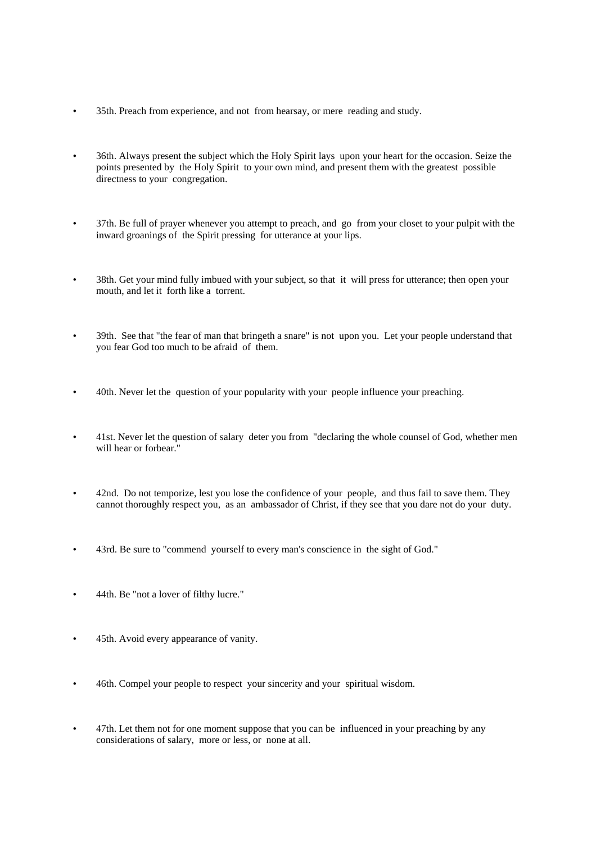- 35th. Preach from experience, and not from hearsay, or mere reading and study.
- 36th. Always present the subject which the Holy Spirit lays upon your heart for the occasion. Seize the points presented by the Holy Spirit to your own mind, and present them with the greatest possible directness to your congregation.
- 37th. Be full of prayer whenever you attempt to preach, and go from your closet to your pulpit with the inward groanings of the Spirit pressing for utterance at your lips.
- 38th. Get your mind fully imbued with your subject, so that it will press for utterance; then open your mouth, and let it forth like a torrent.
- 39th. See that "the fear of man that bringeth a snare" is not upon you. Let your people understand that you fear God too much to be afraid of them.
- 40th. Never let the question of your popularity with your people influence your preaching.
- 41st. Never let the question of salary deter you from "declaring the whole counsel of God, whether men will hear or forbear."
- 42nd. Do not temporize, lest you lose the confidence of your people, and thus fail to save them. They cannot thoroughly respect you, as an ambassador of Christ, if they see that you dare not do your duty.
- 43rd. Be sure to "commend yourself to every man's conscience in the sight of God."
- 44th. Be "not a lover of filthy lucre."
- 45th. Avoid every appearance of vanity.
- 46th. Compel your people to respect your sincerity and your spiritual wisdom.
- 47th. Let them not for one moment suppose that you can be influenced in your preaching by any considerations of salary, more or less, or none at all.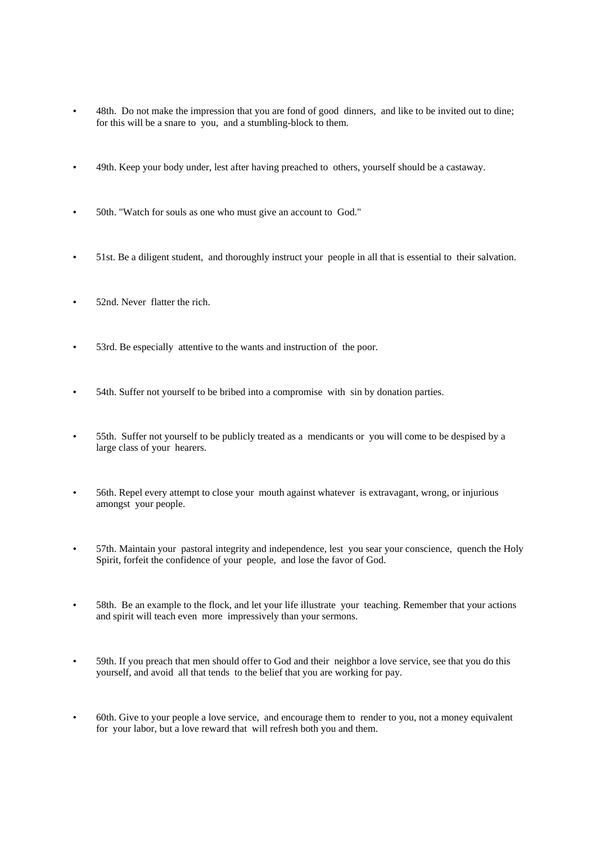- 48th. Do not make the impression that you are fond of good dinners, and like to be invited out to dine; for this will be a snare to you, and a stumbling-block to them.
- 49th. Keep your body under, lest after having preached to others, yourself should be a castaway.
- 50th. "Watch for souls as one who must give an account to God."
- 51st. Be a diligent student, and thoroughly instruct your people in all that is essential to their salvation.
- 52nd. Never flatter the rich.
- 53rd. Be especially attentive to the wants and instruction of the poor.
- 54th. Suffer not yourself to be bribed into a compromise with sin by donation parties.
- 55th. Suffer not yourself to be publicly treated as a mendicants or you will come to be despised by a large class of your hearers.
- 56th. Repel every attempt to close your mouth against whatever is extravagant, wrong, or injurious amongst your people.
- 57th. Maintain your pastoral integrity and independence, lest you sear your conscience, quench the Holy Spirit, forfeit the confidence of your people, and lose the favor of God.
- 58th. Be an example to the flock, and let your life illustrate your teaching. Remember that your actions and spirit will teach even more impressively than your sermons.
- 59th. If you preach that men should offer to God and their neighbor a love service, see that you do this yourself, and avoid all that tends to the belief that you are working for pay.
- 60th. Give to your people a love service, and encourage them to render to you, not a money equivalent for your labor, but a love reward that will refresh both you and them.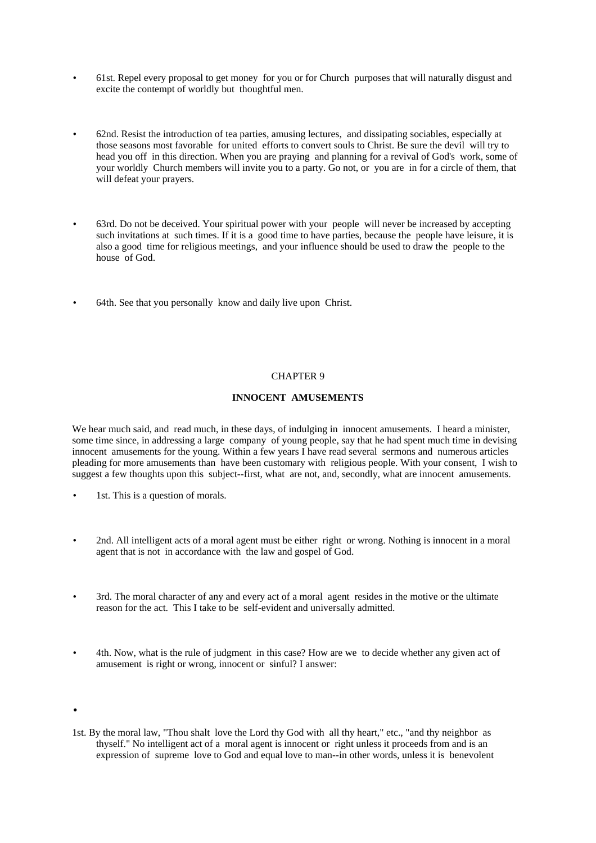- 61st. Repel every proposal to get money for you or for Church purposes that will naturally disgust and excite the contempt of worldly but thoughtful men.
- 62nd. Resist the introduction of tea parties, amusing lectures, and dissipating sociables, especially at those seasons most favorable for united efforts to convert souls to Christ. Be sure the devil will try to head you off in this direction. When you are praying and planning for a revival of God's work, some of your worldly Church members will invite you to a party. Go not, or you are in for a circle of them, that will defeat your prayers.
- 63rd. Do not be deceived. Your spiritual power with your people will never be increased by accepting such invitations at such times. If it is a good time to have parties, because the people have leisure, it is also a good time for religious meetings, and your influence should be used to draw the people to the house of God.
- 64th. See that you personally know and daily live upon Christ.

# CHAPTER 9

#### **INNOCENT AMUSEMENTS**

We hear much said, and read much, in these days, of indulging in innocent amusements. I heard a minister, some time since, in addressing a large company of young people, say that he had spent much time in devising innocent amusements for the young. Within a few years I have read several sermons and numerous articles pleading for more amusements than have been customary with religious people. With your consent, I wish to suggest a few thoughts upon this subject--first, what are not, and, secondly, what are innocent amusements.

- 1st. This is a question of morals.
- 2nd. All intelligent acts of a moral agent must be either right or wrong. Nothing is innocent in a moral agent that is not in accordance with the law and gospel of God.
- 3rd. The moral character of any and every act of a moral agent resides in the motive or the ultimate reason for the act. This I take to be self-evident and universally admitted.
- 4th. Now, what is the rule of judgment in this case? How are we to decide whether any given act of amusement is right or wrong, innocent or sinful? I answer:

•

1st. By the moral law, "Thou shalt love the Lord thy God with all thy heart," etc., "and thy neighbor as thyself." No intelligent act of a moral agent is innocent or right unless it proceeds from and is an expression of supreme love to God and equal love to man--in other words, unless it is benevolent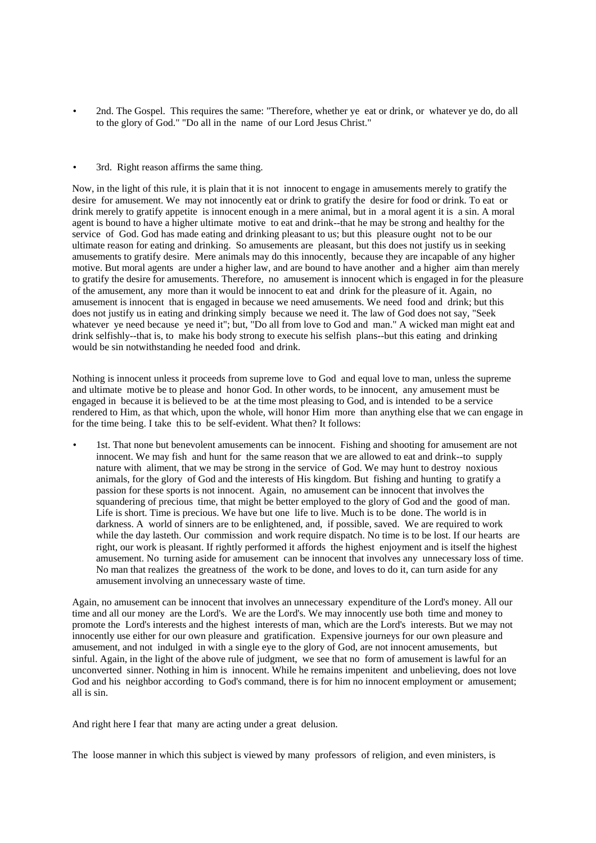- 2nd. The Gospel. This requires the same: "Therefore, whether ye eat or drink, or whatever ye do, do all to the glory of God." "Do all in the name of our Lord Jesus Christ."
- 3rd. Right reason affirms the same thing.

Now, in the light of this rule, it is plain that it is not innocent to engage in amusements merely to gratify the desire for amusement. We may not innocently eat or drink to gratify the desire for food or drink. To eat or drink merely to gratify appetite is innocent enough in a mere animal, but in a moral agent it is a sin. A moral agent is bound to have a higher ultimate motive to eat and drink--that he may be strong and healthy for the service of God. God has made eating and drinking pleasant to us; but this pleasure ought not to be our ultimate reason for eating and drinking. So amusements are pleasant, but this does not justify us in seeking amusements to gratify desire. Mere animals may do this innocently, because they are incapable of any higher motive. But moral agents are under a higher law, and are bound to have another and a higher aim than merely to gratify the desire for amusements. Therefore, no amusement is innocent which is engaged in for the pleasure of the amusement, any more than it would be innocent to eat and drink for the pleasure of it. Again, no amusement is innocent that is engaged in because we need amusements. We need food and drink; but this does not justify us in eating and drinking simply because we need it. The law of God does not say, "Seek whatever ye need because ye need it"; but, "Do all from love to God and man." A wicked man might eat and drink selfishly--that is, to make his body strong to execute his selfish plans--but this eating and drinking would be sin notwithstanding he needed food and drink.

Nothing is innocent unless it proceeds from supreme love to God and equal love to man, unless the supreme and ultimate motive be to please and honor God. In other words, to be innocent, any amusement must be engaged in because it is believed to be at the time most pleasing to God, and is intended to be a service rendered to Him, as that which, upon the whole, will honor Him more than anything else that we can engage in for the time being. I take this to be self-evident. What then? It follows:

• 1st. That none but benevolent amusements can be innocent. Fishing and shooting for amusement are not innocent. We may fish and hunt for the same reason that we are allowed to eat and drink--to supply nature with aliment, that we may be strong in the service of God. We may hunt to destroy noxious animals, for the glory of God and the interests of His kingdom. But fishing and hunting to gratify a passion for these sports is not innocent. Again, no amusement can be innocent that involves the squandering of precious time, that might be better employed to the glory of God and the good of man. Life is short. Time is precious. We have but one life to live. Much is to be done. The world is in darkness. A world of sinners are to be enlightened, and, if possible, saved. We are required to work while the day lasteth. Our commission and work require dispatch. No time is to be lost. If our hearts are right, our work is pleasant. If rightly performed it affords the highest enjoyment and is itself the highest amusement. No turning aside for amusement can be innocent that involves any unnecessary loss of time. No man that realizes the greatness of the work to be done, and loves to do it, can turn aside for any amusement involving an unnecessary waste of time.

Again, no amusement can be innocent that involves an unnecessary expenditure of the Lord's money. All our time and all our money are the Lord's. We are the Lord's. We may innocently use both time and money to promote the Lord's interests and the highest interests of man, which are the Lord's interests. But we may not innocently use either for our own pleasure and gratification. Expensive journeys for our own pleasure and amusement, and not indulged in with a single eye to the glory of God, are not innocent amusements, but sinful. Again, in the light of the above rule of judgment, we see that no form of amusement is lawful for an unconverted sinner. Nothing in him is innocent. While he remains impenitent and unbelieving, does not love God and his neighbor according to God's command, there is for him no innocent employment or amusement; all is sin.

And right here I fear that many are acting under a great delusion.

The loose manner in which this subject is viewed by many professors of religion, and even ministers, is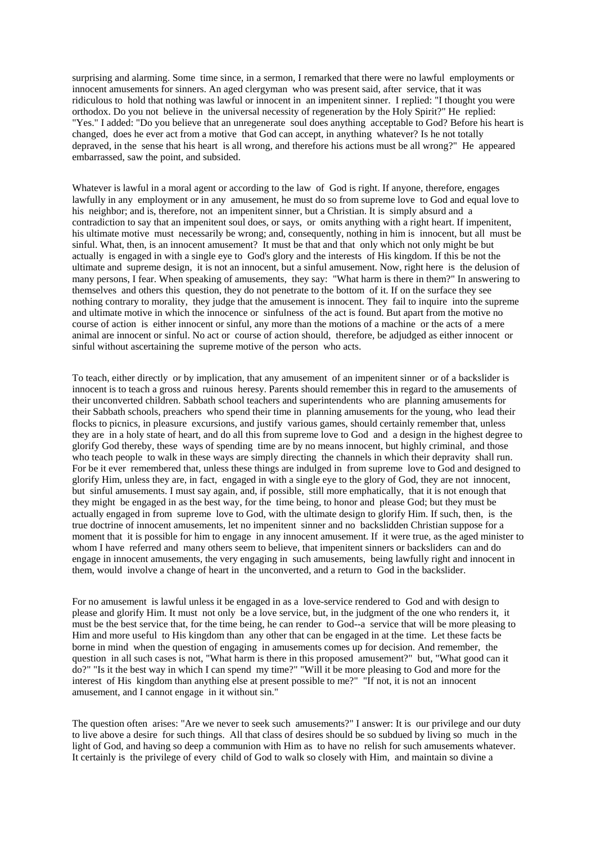surprising and alarming. Some time since, in a sermon, I remarked that there were no lawful employments or innocent amusements for sinners. An aged clergyman who was present said, after service, that it was ridiculous to hold that nothing was lawful or innocent in an impenitent sinner. I replied: "I thought you were orthodox. Do you not believe in the universal necessity of regeneration by the Holy Spirit?" He replied: "Yes." I added: "Do you believe that an unregenerate soul does anything acceptable to God? Before his heart is changed, does he ever act from a motive that God can accept, in anything whatever? Is he not totally depraved, in the sense that his heart is all wrong, and therefore his actions must be all wrong?" He appeared embarrassed, saw the point, and subsided.

Whatever is lawful in a moral agent or according to the law of God is right. If anyone, therefore, engages lawfully in any employment or in any amusement, he must do so from supreme love to God and equal love to his neighbor; and is, therefore, not an impenitent sinner, but a Christian. It is simply absurd and a contradiction to say that an impenitent soul does, or says, or omits anything with a right heart. If impenitent, his ultimate motive must necessarily be wrong; and, consequently, nothing in him is innocent, but all must be sinful. What, then, is an innocent amusement? It must be that and that only which not only might be but actually is engaged in with a single eye to God's glory and the interests of His kingdom. If this be not the ultimate and supreme design, it is not an innocent, but a sinful amusement. Now, right here is the delusion of many persons, I fear. When speaking of amusements, they say: "What harm is there in them?" In answering to themselves and others this question, they do not penetrate to the bottom of it. If on the surface they see nothing contrary to morality, they judge that the amusement is innocent. They fail to inquire into the supreme and ultimate motive in which the innocence or sinfulness of the act is found. But apart from the motive no course of action is either innocent or sinful, any more than the motions of a machine or the acts of a mere animal are innocent or sinful. No act or course of action should, therefore, be adjudged as either innocent or sinful without ascertaining the supreme motive of the person who acts.

To teach, either directly or by implication, that any amusement of an impenitent sinner or of a backslider is innocent is to teach a gross and ruinous heresy. Parents should remember this in regard to the amusements of their unconverted children. Sabbath school teachers and superintendents who are planning amusements for their Sabbath schools, preachers who spend their time in planning amusements for the young, who lead their flocks to picnics, in pleasure excursions, and justify various games, should certainly remember that, unless they are in a holy state of heart, and do all this from supreme love to God and a design in the highest degree to glorify God thereby, these ways of spending time are by no means innocent, but highly criminal, and those who teach people to walk in these ways are simply directing the channels in which their depravity shall run. For be it ever remembered that, unless these things are indulged in from supreme love to God and designed to glorify Him, unless they are, in fact, engaged in with a single eye to the glory of God, they are not innocent, but sinful amusements. I must say again, and, if possible, still more emphatically, that it is not enough that they might be engaged in as the best way, for the time being, to honor and please God; but they must be actually engaged in from supreme love to God, with the ultimate design to glorify Him. If such, then, is the true doctrine of innocent amusements, let no impenitent sinner and no backslidden Christian suppose for a moment that it is possible for him to engage in any innocent amusement. If it were true, as the aged minister to whom I have referred and many others seem to believe, that impenitent sinners or backsliders can and do engage in innocent amusements, the very engaging in such amusements, being lawfully right and innocent in them, would involve a change of heart in the unconverted, and a return to God in the backslider.

For no amusement is lawful unless it be engaged in as a love-service rendered to God and with design to please and glorify Him. It must not only be a love service, but, in the judgment of the one who renders it, it must be the best service that, for the time being, he can render to God--a service that will be more pleasing to Him and more useful to His kingdom than any other that can be engaged in at the time. Let these facts be borne in mind when the question of engaging in amusements comes up for decision. And remember, the question in all such cases is not, "What harm is there in this proposed amusement?" but, "What good can it do?" "Is it the best way in which I can spend my time?" "Will it be more pleasing to God and more for the interest of His kingdom than anything else at present possible to me?" "If not, it is not an innocent amusement, and I cannot engage in it without sin."

The question often arises: "Are we never to seek such amusements?" I answer: It is our privilege and our duty to live above a desire for such things. All that class of desires should be so subdued by living so much in the light of God, and having so deep a communion with Him as to have no relish for such amusements whatever. It certainly is the privilege of every child of God to walk so closely with Him, and maintain so divine a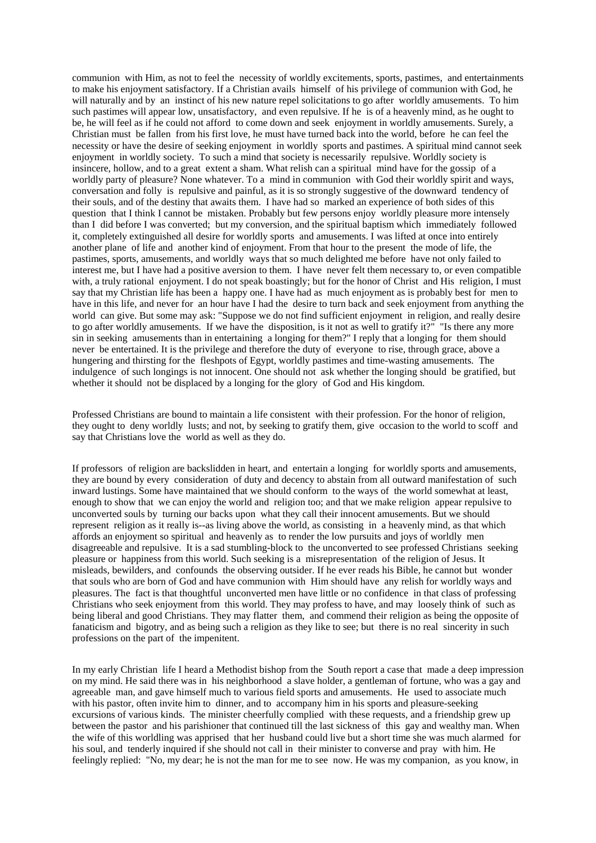communion with Him, as not to feel the necessity of worldly excitements, sports, pastimes, and entertainments to make his enjoyment satisfactory. If a Christian avails himself of his privilege of communion with God, he will naturally and by an instinct of his new nature repel solicitations to go after worldly amusements. To him such pastimes will appear low, unsatisfactory, and even repulsive. If he is of a heavenly mind, as he ought to be, he will feel as if he could not afford to come down and seek enjoyment in worldly amusements. Surely, a Christian must be fallen from his first love, he must have turned back into the world, before he can feel the necessity or have the desire of seeking enjoyment in worldly sports and pastimes. A spiritual mind cannot seek enjoyment in worldly society. To such a mind that society is necessarily repulsive. Worldly society is insincere, hollow, and to a great extent a sham. What relish can a spiritual mind have for the gossip of a worldly party of pleasure? None whatever. To a mind in communion with God their worldly spirit and ways, conversation and folly is repulsive and painful, as it is so strongly suggestive of the downward tendency of their souls, and of the destiny that awaits them. I have had so marked an experience of both sides of this question that I think I cannot be mistaken. Probably but few persons enjoy worldly pleasure more intensely than I did before I was converted; but my conversion, and the spiritual baptism which immediately followed it, completely extinguished all desire for worldly sports and amusements. I was lifted at once into entirely another plane of life and another kind of enjoyment. From that hour to the present the mode of life, the pastimes, sports, amusements, and worldly ways that so much delighted me before have not only failed to interest me, but I have had a positive aversion to them. I have never felt them necessary to, or even compatible with, a truly rational enjoyment. I do not speak boastingly; but for the honor of Christ and His religion. I must say that my Christian life has been a happy one. I have had as much enjoyment as is probably best for men to have in this life, and never for an hour have I had the desire to turn back and seek enjoyment from anything the world can give. But some may ask: "Suppose we do not find sufficient enjoyment in religion, and really desire to go after worldly amusements. If we have the disposition, is it not as well to gratify it?" "Is there any more sin in seeking amusements than in entertaining a longing for them?" I reply that a longing for them should never be entertained. It is the privilege and therefore the duty of everyone to rise, through grace, above a hungering and thirsting for the fleshpots of Egypt, worldly pastimes and time-wasting amusements. The indulgence of such longings is not innocent. One should not ask whether the longing should be gratified, but whether it should not be displaced by a longing for the glory of God and His kingdom.

Professed Christians are bound to maintain a life consistent with their profession. For the honor of religion, they ought to deny worldly lusts; and not, by seeking to gratify them, give occasion to the world to scoff and say that Christians love the world as well as they do.

If professors of religion are backslidden in heart, and entertain a longing for worldly sports and amusements, they are bound by every consideration of duty and decency to abstain from all outward manifestation of such inward lustings. Some have maintained that we should conform to the ways of the world somewhat at least, enough to show that we can enjoy the world and religion too; and that we make religion appear repulsive to unconverted souls by turning our backs upon what they call their innocent amusements. But we should represent religion as it really is--as living above the world, as consisting in a heavenly mind, as that which affords an enjoyment so spiritual and heavenly as to render the low pursuits and joys of worldly men disagreeable and repulsive. It is a sad stumbling-block to the unconverted to see professed Christians seeking pleasure or happiness from this world. Such seeking is a misrepresentation of the religion of Jesus. It misleads, bewilders, and confounds the observing outsider. If he ever reads his Bible, he cannot but wonder that souls who are born of God and have communion with Him should have any relish for worldly ways and pleasures. The fact is that thoughtful unconverted men have little or no confidence in that class of professing Christians who seek enjoyment from this world. They may profess to have, and may loosely think of such as being liberal and good Christians. They may flatter them, and commend their religion as being the opposite of fanaticism and bigotry, and as being such a religion as they like to see; but there is no real sincerity in such professions on the part of the impenitent.

In my early Christian life I heard a Methodist bishop from the South report a case that made a deep impression on my mind. He said there was in his neighborhood a slave holder, a gentleman of fortune, who was a gay and agreeable man, and gave himself much to various field sports and amusements. He used to associate much with his pastor, often invite him to dinner, and to accompany him in his sports and pleasure-seeking excursions of various kinds. The minister cheerfully complied with these requests, and a friendship grew up between the pastor and his parishioner that continued till the last sickness of this gay and wealthy man. When the wife of this worldling was apprised that her husband could live but a short time she was much alarmed for his soul, and tenderly inquired if she should not call in their minister to converse and pray with him. He feelingly replied: "No, my dear; he is not the man for me to see now. He was my companion, as you know, in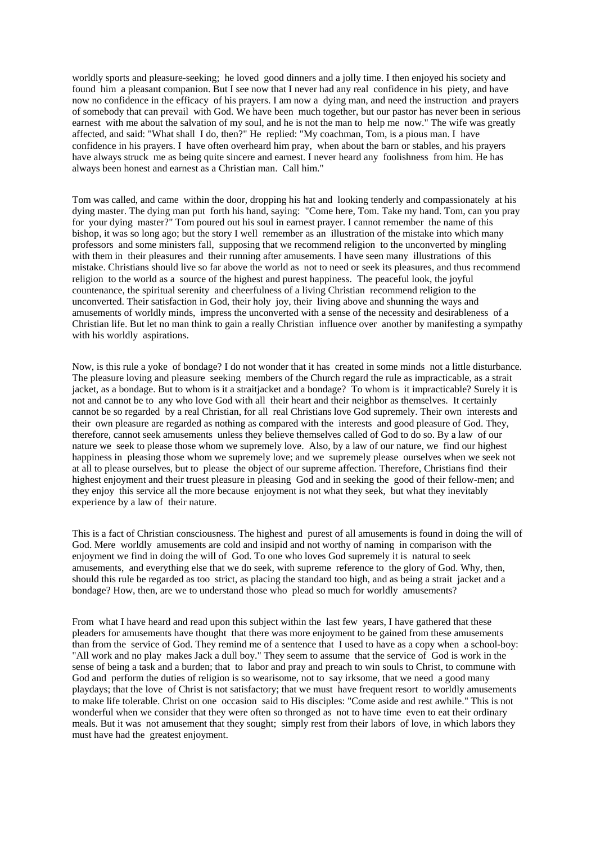worldly sports and pleasure-seeking; he loved good dinners and a jolly time. I then enjoyed his society and found him a pleasant companion. But I see now that I never had any real confidence in his piety, and have now no confidence in the efficacy of his prayers. I am now a dying man, and need the instruction and prayers of somebody that can prevail with God. We have been much together, but our pastor has never been in serious earnest with me about the salvation of my soul, and he is not the man to help me now." The wife was greatly affected, and said: "What shall I do, then?" He replied: "My coachman, Tom, is a pious man. I have confidence in his prayers. I have often overheard him pray, when about the barn or stables, and his prayers have always struck me as being quite sincere and earnest. I never heard any foolishness from him. He has always been honest and earnest as a Christian man. Call him."

Tom was called, and came within the door, dropping his hat and looking tenderly and compassionately at his dying master. The dying man put forth his hand, saying: "Come here, Tom. Take my hand. Tom, can you pray for your dying master?" Tom poured out his soul in earnest prayer. I cannot remember the name of this bishop, it was so long ago; but the story I well remember as an illustration of the mistake into which many professors and some ministers fall, supposing that we recommend religion to the unconverted by mingling with them in their pleasures and their running after amusements. I have seen many illustrations of this mistake. Christians should live so far above the world as not to need or seek its pleasures, and thus recommend religion to the world as a source of the highest and purest happiness. The peaceful look, the joyful countenance, the spiritual serenity and cheerfulness of a living Christian recommend religion to the unconverted. Their satisfaction in God, their holy joy, their living above and shunning the ways and amusements of worldly minds, impress the unconverted with a sense of the necessity and desirableness of a Christian life. But let no man think to gain a really Christian influence over another by manifesting a sympathy with his worldly aspirations.

Now, is this rule a yoke of bondage? I do not wonder that it has created in some minds not a little disturbance. The pleasure loving and pleasure seeking members of the Church regard the rule as impracticable, as a strait jacket, as a bondage. But to whom is it a straitjacket and a bondage? To whom is it impracticable? Surely it is not and cannot be to any who love God with all their heart and their neighbor as themselves. It certainly cannot be so regarded by a real Christian, for all real Christians love God supremely. Their own interests and their own pleasure are regarded as nothing as compared with the interests and good pleasure of God. They, therefore, cannot seek amusements unless they believe themselves called of God to do so. By a law of our nature we seek to please those whom we supremely love. Also, by a law of our nature, we find our highest happiness in pleasing those whom we supremely love; and we supremely please ourselves when we seek not at all to please ourselves, but to please the object of our supreme affection. Therefore, Christians find their highest enjoyment and their truest pleasure in pleasing God and in seeking the good of their fellow-men; and they enjoy this service all the more because enjoyment is not what they seek, but what they inevitably experience by a law of their nature.

This is a fact of Christian consciousness. The highest and purest of all amusements is found in doing the will of God. Mere worldly amusements are cold and insipid and not worthy of naming in comparison with the enjoyment we find in doing the will of God. To one who loves God supremely it is natural to seek amusements, and everything else that we do seek, with supreme reference to the glory of God. Why, then, should this rule be regarded as too strict, as placing the standard too high, and as being a strait jacket and a bondage? How, then, are we to understand those who plead so much for worldly amusements?

From what I have heard and read upon this subject within the last few years, I have gathered that these pleaders for amusements have thought that there was more enjoyment to be gained from these amusements than from the service of God. They remind me of a sentence that I used to have as a copy when a school-boy: "All work and no play makes Jack a dull boy." They seem to assume that the service of God is work in the sense of being a task and a burden; that to labor and pray and preach to win souls to Christ, to commune with God and perform the duties of religion is so wearisome, not to say irksome, that we need a good many playdays; that the love of Christ is not satisfactory; that we must have frequent resort to worldly amusements to make life tolerable. Christ on one occasion said to His disciples: "Come aside and rest awhile." This is not wonderful when we consider that they were often so thronged as not to have time even to eat their ordinary meals. But it was not amusement that they sought; simply rest from their labors of love, in which labors they must have had the greatest enjoyment.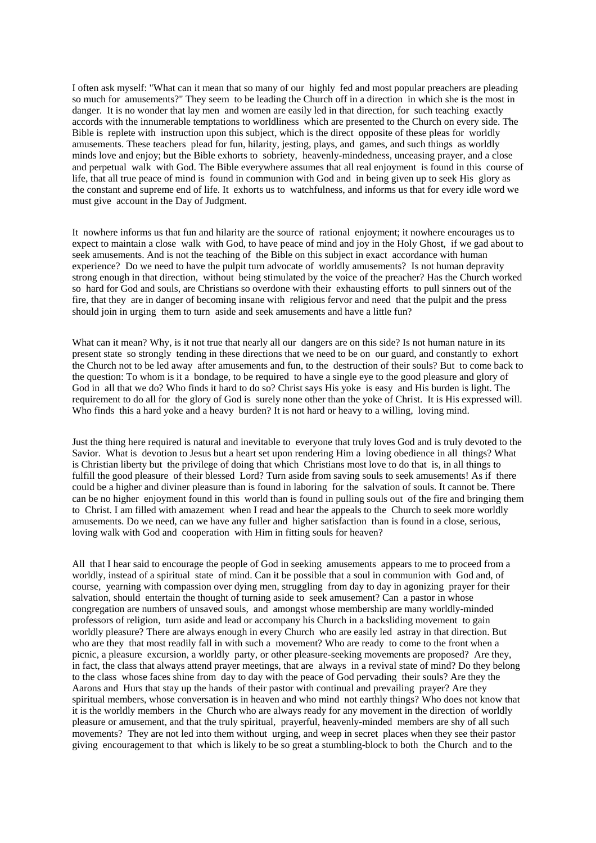I often ask myself: "What can it mean that so many of our highly fed and most popular preachers are pleading so much for amusements?" They seem to be leading the Church off in a direction in which she is the most in danger. It is no wonder that lay men and women are easily led in that direction, for such teaching exactly accords with the innumerable temptations to worldliness which are presented to the Church on every side. The Bible is replete with instruction upon this subject, which is the direct opposite of these pleas for worldly amusements. These teachers plead for fun, hilarity, jesting, plays, and games, and such things as worldly minds love and enjoy; but the Bible exhorts to sobriety, heavenly-mindedness, unceasing prayer, and a close and perpetual walk with God. The Bible everywhere assumes that all real enjoyment is found in this course of life, that all true peace of mind is found in communion with God and in being given up to seek His glory as the constant and supreme end of life. It exhorts us to watchfulness, and informs us that for every idle word we must give account in the Day of Judgment.

It nowhere informs us that fun and hilarity are the source of rational enjoyment; it nowhere encourages us to expect to maintain a close walk with God, to have peace of mind and joy in the Holy Ghost, if we gad about to seek amusements. And is not the teaching of the Bible on this subject in exact accordance with human experience? Do we need to have the pulpit turn advocate of worldly amusements? Is not human depravity strong enough in that direction, without being stimulated by the voice of the preacher? Has the Church worked so hard for God and souls, are Christians so overdone with their exhausting efforts to pull sinners out of the fire, that they are in danger of becoming insane with religious fervor and need that the pulpit and the press should join in urging them to turn aside and seek amusements and have a little fun?

What can it mean? Why, is it not true that nearly all our dangers are on this side? Is not human nature in its present state so strongly tending in these directions that we need to be on our guard, and constantly to exhort the Church not to be led away after amusements and fun, to the destruction of their souls? But to come back to the question: To whom is it a bondage, to be required to have a single eye to the good pleasure and glory of God in all that we do? Who finds it hard to do so? Christ says His yoke is easy and His burden is light. The requirement to do all for the glory of God is surely none other than the yoke of Christ. It is His expressed will. Who finds this a hard yoke and a heavy burden? It is not hard or heavy to a willing, loving mind.

Just the thing here required is natural and inevitable to everyone that truly loves God and is truly devoted to the Savior. What is devotion to Jesus but a heart set upon rendering Him a loving obedience in all things? What is Christian liberty but the privilege of doing that which Christians most love to do that is, in all things to fulfill the good pleasure of their blessed Lord? Turn aside from saving souls to seek amusements! As if there could be a higher and diviner pleasure than is found in laboring for the salvation of souls. It cannot be. There can be no higher enjoyment found in this world than is found in pulling souls out of the fire and bringing them to Christ. I am filled with amazement when I read and hear the appeals to the Church to seek more worldly amusements. Do we need, can we have any fuller and higher satisfaction than is found in a close, serious, loving walk with God and cooperation with Him in fitting souls for heaven?

All that I hear said to encourage the people of God in seeking amusements appears to me to proceed from a worldly, instead of a spiritual state of mind. Can it be possible that a soul in communion with God and, of course, yearning with compassion over dying men, struggling from day to day in agonizing prayer for their salvation, should entertain the thought of turning aside to seek amusement? Can a pastor in whose congregation are numbers of unsaved souls, and amongst whose membership are many worldly-minded professors of religion, turn aside and lead or accompany his Church in a backsliding movement to gain worldly pleasure? There are always enough in every Church who are easily led astray in that direction. But who are they that most readily fall in with such a movement? Who are ready to come to the front when a picnic, a pleasure excursion, a worldly party, or other pleasure-seeking movements are proposed? Are they, in fact, the class that always attend prayer meetings, that are always in a revival state of mind? Do they belong to the class whose faces shine from day to day with the peace of God pervading their souls? Are they the Aarons and Hurs that stay up the hands of their pastor with continual and prevailing prayer? Are they spiritual members, whose conversation is in heaven and who mind not earthly things? Who does not know that it is the worldly members in the Church who are always ready for any movement in the direction of worldly pleasure or amusement, and that the truly spiritual, prayerful, heavenly-minded members are shy of all such movements? They are not led into them without urging, and weep in secret places when they see their pastor giving encouragement to that which is likely to be so great a stumbling-block to both the Church and to the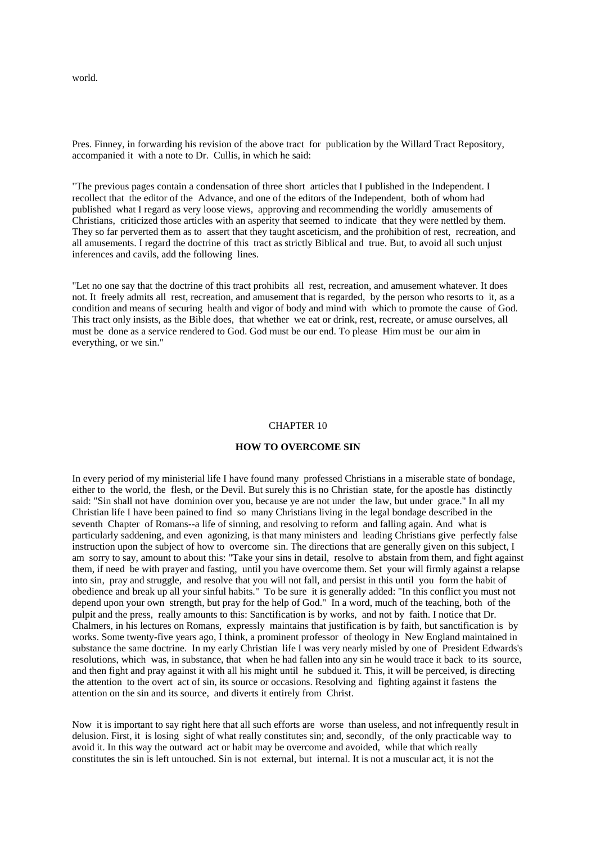world.

Pres. Finney, in forwarding his revision of the above tract for publication by the Willard Tract Repository, accompanied it with a note to Dr. Cullis, in which he said:

"The previous pages contain a condensation of three short articles that I published in the Independent. I recollect that the editor of the Advance, and one of the editors of the Independent, both of whom had published what I regard as very loose views, approving and recommending the worldly amusements of Christians, criticized those articles with an asperity that seemed to indicate that they were nettled by them. They so far perverted them as to assert that they taught asceticism, and the prohibition of rest, recreation, and all amusements. I regard the doctrine of this tract as strictly Biblical and true. But, to avoid all such unjust inferences and cavils, add the following lines.

"Let no one say that the doctrine of this tract prohibits all rest, recreation, and amusement whatever. It does not. It freely admits all rest, recreation, and amusement that is regarded, by the person who resorts to it, as a condition and means of securing health and vigor of body and mind with which to promote the cause of God. This tract only insists, as the Bible does, that whether we eat or drink, rest, recreate, or amuse ourselves, all must be done as a service rendered to God. God must be our end. To please Him must be our aim in everything, or we sin."

# CHAPTER 10

#### **HOW TO OVERCOME SIN**

In every period of my ministerial life I have found many professed Christians in a miserable state of bondage, either to the world, the flesh, or the Devil. But surely this is no Christian state, for the apostle has distinctly said: "Sin shall not have dominion over you, because ye are not under the law, but under grace." In all my Christian life I have been pained to find so many Christians living in the legal bondage described in the seventh Chapter of Romans--a life of sinning, and resolving to reform and falling again. And what is particularly saddening, and even agonizing, is that many ministers and leading Christians give perfectly false instruction upon the subject of how to overcome sin. The directions that are generally given on this subject, I am sorry to say, amount to about this: "Take your sins in detail, resolve to abstain from them, and fight against them, if need be with prayer and fasting, until you have overcome them. Set your will firmly against a relapse into sin, pray and struggle, and resolve that you will not fall, and persist in this until you form the habit of obedience and break up all your sinful habits." To be sure it is generally added: "In this conflict you must not depend upon your own strength, but pray for the help of God." In a word, much of the teaching, both of the pulpit and the press, really amounts to this: Sanctification is by works, and not by faith. I notice that Dr. Chalmers, in his lectures on Romans, expressly maintains that justification is by faith, but sanctification is by works. Some twenty-five years ago, I think, a prominent professor of theology in New England maintained in substance the same doctrine. In my early Christian life I was very nearly misled by one of President Edwards's resolutions, which was, in substance, that when he had fallen into any sin he would trace it back to its source, and then fight and pray against it with all his might until he subdued it. This, it will be perceived, is directing the attention to the overt act of sin, its source or occasions. Resolving and fighting against it fastens the attention on the sin and its source, and diverts it entirely from Christ.

Now it is important to say right here that all such efforts are worse than useless, and not infrequently result in delusion. First, it is losing sight of what really constitutes sin; and, secondly, of the only practicable way to avoid it. In this way the outward act or habit may be overcome and avoided, while that which really constitutes the sin is left untouched. Sin is not external, but internal. It is not a muscular act, it is not the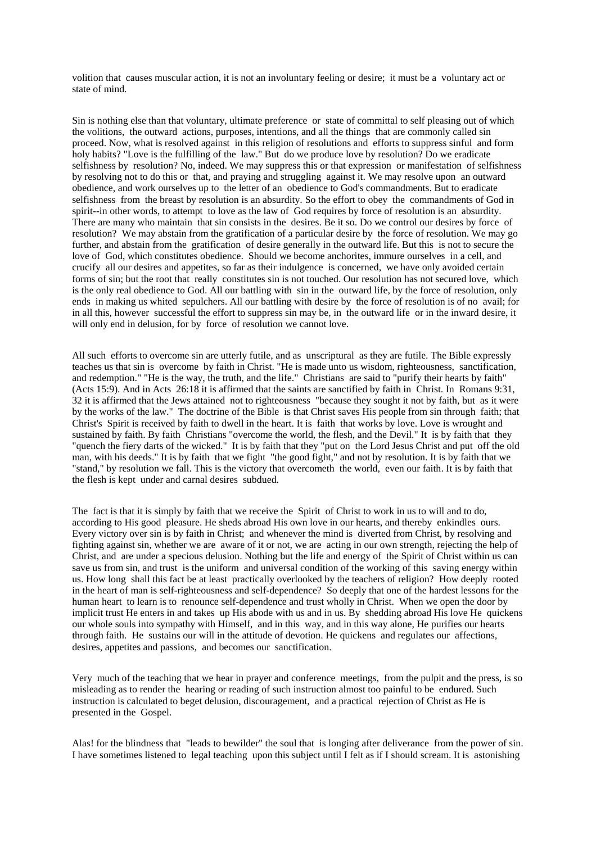volition that causes muscular action, it is not an involuntary feeling or desire; it must be a voluntary act or state of mind.

Sin is nothing else than that voluntary, ultimate preference or state of committal to self pleasing out of which the volitions, the outward actions, purposes, intentions, and all the things that are commonly called sin proceed. Now, what is resolved against in this religion of resolutions and efforts to suppress sinful and form holy habits? "Love is the fulfilling of the law." But do we produce love by resolution? Do we eradicate selfishness by resolution? No, indeed. We may suppress this or that expression or manifestation of selfishness by resolving not to do this or that, and praying and struggling against it. We may resolve upon an outward obedience, and work ourselves up to the letter of an obedience to God's commandments. But to eradicate selfishness from the breast by resolution is an absurdity. So the effort to obey the commandments of God in spirit--in other words, to attempt to love as the law of God requires by force of resolution is an absurdity. There are many who maintain that sin consists in the desires. Be it so. Do we control our desires by force of resolution? We may abstain from the gratification of a particular desire by the force of resolution. We may go further, and abstain from the gratification of desire generally in the outward life. But this is not to secure the love of God, which constitutes obedience. Should we become anchorites, immure ourselves in a cell, and crucify all our desires and appetites, so far as their indulgence is concerned, we have only avoided certain forms of sin; but the root that really constitutes sin is not touched. Our resolution has not secured love, which is the only real obedience to God. All our battling with sin in the outward life, by the force of resolution, only ends in making us whited sepulchers. All our battling with desire by the force of resolution is of no avail; for in all this, however successful the effort to suppress sin may be, in the outward life or in the inward desire, it will only end in delusion, for by force of resolution we cannot love.

All such efforts to overcome sin are utterly futile, and as unscriptural as they are futile. The Bible expressly teaches us that sin is overcome by faith in Christ. "He is made unto us wisdom, righteousness, sanctification, and redemption." "He is the way, the truth, and the life." Christians are said to "purify their hearts by faith" (Acts 15:9). And in Acts 26:18 it is affirmed that the saints are sanctified by faith in Christ. In Romans 9:31, 32 it is affirmed that the Jews attained not to righteousness "because they sought it not by faith, but as it were by the works of the law." The doctrine of the Bible is that Christ saves His people from sin through faith; that Christ's Spirit is received by faith to dwell in the heart. It is faith that works by love. Love is wrought and sustained by faith. By faith Christians "overcome the world, the flesh, and the Devil." It is by faith that they "quench the fiery darts of the wicked." It is by faith that they "put on the Lord Jesus Christ and put off the old man, with his deeds." It is by faith that we fight "the good fight," and not by resolution. It is by faith that we "stand," by resolution we fall. This is the victory that overcometh the world, even our faith. It is by faith that the flesh is kept under and carnal desires subdued.

The fact is that it is simply by faith that we receive the Spirit of Christ to work in us to will and to do, according to His good pleasure. He sheds abroad His own love in our hearts, and thereby enkindles ours. Every victory over sin is by faith in Christ; and whenever the mind is diverted from Christ, by resolving and fighting against sin, whether we are aware of it or not, we are acting in our own strength, rejecting the help of Christ, and are under a specious delusion. Nothing but the life and energy of the Spirit of Christ within us can save us from sin, and trust is the uniform and universal condition of the working of this saving energy within us. How long shall this fact be at least practically overlooked by the teachers of religion? How deeply rooted in the heart of man is self-righteousness and self-dependence? So deeply that one of the hardest lessons for the human heart to learn is to renounce self-dependence and trust wholly in Christ. When we open the door by implicit trust He enters in and takes up His abode with us and in us. By shedding abroad His love He quickens our whole souls into sympathy with Himself, and in this way, and in this way alone, He purifies our hearts through faith. He sustains our will in the attitude of devotion. He quickens and regulates our affections, desires, appetites and passions, and becomes our sanctification.

Very much of the teaching that we hear in prayer and conference meetings, from the pulpit and the press, is so misleading as to render the hearing or reading of such instruction almost too painful to be endured. Such instruction is calculated to beget delusion, discouragement, and a practical rejection of Christ as He is presented in the Gospel.

Alas! for the blindness that "leads to bewilder" the soul that is longing after deliverance from the power of sin. I have sometimes listened to legal teaching upon this subject until I felt as if I should scream. It is astonishing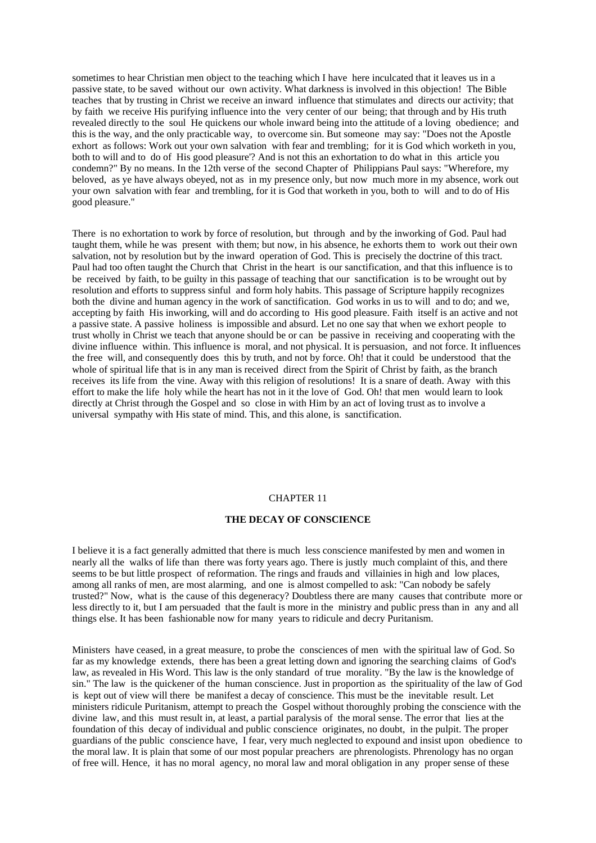sometimes to hear Christian men object to the teaching which I have here inculcated that it leaves us in a passive state, to be saved without our own activity. What darkness is involved in this objection! The Bible teaches that by trusting in Christ we receive an inward influence that stimulates and directs our activity; that by faith we receive His purifying influence into the very center of our being; that through and by His truth revealed directly to the soul He quickens our whole inward being into the attitude of a loving obedience; and this is the way, and the only practicable way, to overcome sin. But someone may say: "Does not the Apostle exhort as follows: Work out your own salvation with fear and trembling; for it is God which worketh in you, both to will and to do of His good pleasure'? And is not this an exhortation to do what in this article you condemn?" By no means. In the 12th verse of the second Chapter of Philippians Paul says: "Wherefore, my beloved, as ye have always obeyed, not as in my presence only, but now much more in my absence, work out your own salvation with fear and trembling, for it is God that worketh in you, both to will and to do of His good pleasure."

There is no exhortation to work by force of resolution, but through and by the inworking of God. Paul had taught them, while he was present with them; but now, in his absence, he exhorts them to work out their own salvation, not by resolution but by the inward operation of God. This is precisely the doctrine of this tract. Paul had too often taught the Church that Christ in the heart is our sanctification, and that this influence is to be received by faith, to be guilty in this passage of teaching that our sanctification is to be wrought out by resolution and efforts to suppress sinful and form holy habits. This passage of Scripture happily recognizes both the divine and human agency in the work of sanctification. God works in us to will and to do; and we, accepting by faith His inworking, will and do according to His good pleasure. Faith itself is an active and not a passive state. A passive holiness is impossible and absurd. Let no one say that when we exhort people to trust wholly in Christ we teach that anyone should be or can be passive in receiving and cooperating with the divine influence within. This influence is moral, and not physical. It is persuasion, and not force. It influences the free will, and consequently does this by truth, and not by force. Oh! that it could be understood that the whole of spiritual life that is in any man is received direct from the Spirit of Christ by faith, as the branch receives its life from the vine. Away with this religion of resolutions! It is a snare of death. Away with this effort to make the life holy while the heart has not in it the love of God. Oh! that men would learn to look directly at Christ through the Gospel and so close in with Him by an act of loving trust as to involve a universal sympathy with His state of mind. This, and this alone, is sanctification.

# CHAPTER 11

# **THE DECAY OF CONSCIENCE**

I believe it is a fact generally admitted that there is much less conscience manifested by men and women in nearly all the walks of life than there was forty years ago. There is justly much complaint of this, and there seems to be but little prospect of reformation. The rings and frauds and villainies in high and low places, among all ranks of men, are most alarming, and one is almost compelled to ask: "Can nobody be safely trusted?" Now, what is the cause of this degeneracy? Doubtless there are many causes that contribute more or less directly to it, but I am persuaded that the fault is more in the ministry and public press than in any and all things else. It has been fashionable now for many years to ridicule and decry Puritanism.

Ministers have ceased, in a great measure, to probe the consciences of men with the spiritual law of God. So far as my knowledge extends, there has been a great letting down and ignoring the searching claims of God's law, as revealed in His Word. This law is the only standard of true morality. "By the law is the knowledge of sin." The law is the quickener of the human conscience. Just in proportion as the spirituality of the law of God is kept out of view will there be manifest a decay of conscience. This must be the inevitable result. Let ministers ridicule Puritanism, attempt to preach the Gospel without thoroughly probing the conscience with the divine law, and this must result in, at least, a partial paralysis of the moral sense. The error that lies at the foundation of this decay of individual and public conscience originates, no doubt, in the pulpit. The proper guardians of the public conscience have, I fear, very much neglected to expound and insist upon obedience to the moral law. It is plain that some of our most popular preachers are phrenologists. Phrenology has no organ of free will. Hence, it has no moral agency, no moral law and moral obligation in any proper sense of these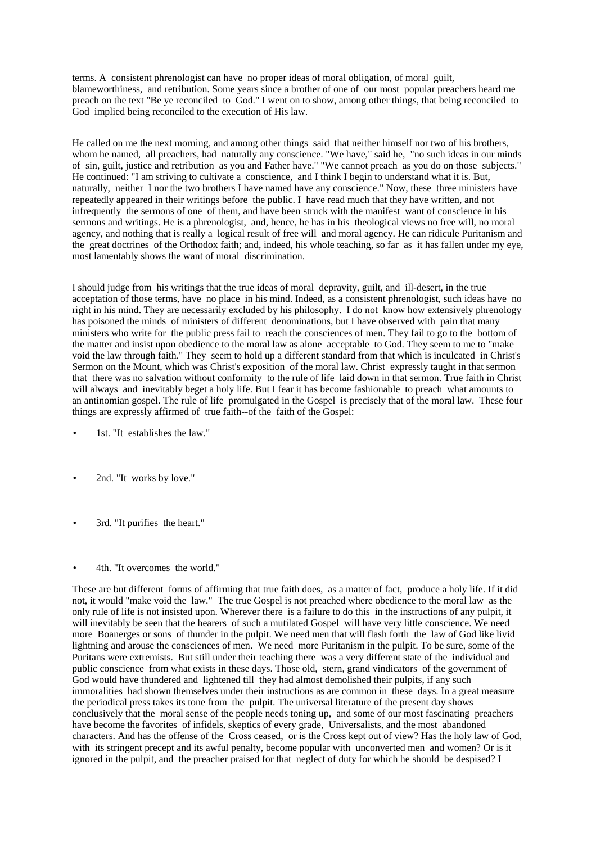terms. A consistent phrenologist can have no proper ideas of moral obligation, of moral guilt, blameworthiness, and retribution. Some years since a brother of one of our most popular preachers heard me preach on the text "Be ye reconciled to God." I went on to show, among other things, that being reconciled to God implied being reconciled to the execution of His law.

He called on me the next morning, and among other things said that neither himself nor two of his brothers, whom he named, all preachers, had naturally any conscience. "We have," said he, "no such ideas in our minds of sin, guilt, justice and retribution as you and Father have." "We cannot preach as you do on those subjects." He continued: "I am striving to cultivate a conscience, and I think I begin to understand what it is. But, naturally, neither I nor the two brothers I have named have any conscience." Now, these three ministers have repeatedly appeared in their writings before the public. I have read much that they have written, and not infrequently the sermons of one of them, and have been struck with the manifest want of conscience in his sermons and writings. He is a phrenologist, and, hence, he has in his theological views no free will, no moral agency, and nothing that is really a logical result of free will and moral agency. He can ridicule Puritanism and the great doctrines of the Orthodox faith; and, indeed, his whole teaching, so far as it has fallen under my eye, most lamentably shows the want of moral discrimination.

I should judge from his writings that the true ideas of moral depravity, guilt, and ill-desert, in the true acceptation of those terms, have no place in his mind. Indeed, as a consistent phrenologist, such ideas have no right in his mind. They are necessarily excluded by his philosophy. I do not know how extensively phrenology has poisoned the minds of ministers of different denominations, but I have observed with pain that many ministers who write for the public press fail to reach the consciences of men. They fail to go to the bottom of the matter and insist upon obedience to the moral law as alone acceptable to God. They seem to me to "make void the law through faith." They seem to hold up a different standard from that which is inculcated in Christ's Sermon on the Mount, which was Christ's exposition of the moral law. Christ expressly taught in that sermon that there was no salvation without conformity to the rule of life laid down in that sermon. True faith in Christ will always and inevitably beget a holy life. But I fear it has become fashionable to preach what amounts to an antinomian gospel. The rule of life promulgated in the Gospel is precisely that of the moral law. These four things are expressly affirmed of true faith--of the faith of the Gospel:

- 1st. "It establishes the law."
- 2nd. "It works by love."
- 3rd. "It purifies the heart."
- 4th. "It overcomes the world."

These are but different forms of affirming that true faith does, as a matter of fact, produce a holy life. If it did not, it would "make void the law." The true Gospel is not preached where obedience to the moral law as the only rule of life is not insisted upon. Wherever there is a failure to do this in the instructions of any pulpit, it will inevitably be seen that the hearers of such a mutilated Gospel will have very little conscience. We need more Boanerges or sons of thunder in the pulpit. We need men that will flash forth the law of God like livid lightning and arouse the consciences of men. We need more Puritanism in the pulpit. To be sure, some of the Puritans were extremists. But still under their teaching there was a very different state of the individual and public conscience from what exists in these days. Those old, stern, grand vindicators of the government of God would have thundered and lightened till they had almost demolished their pulpits, if any such immoralities had shown themselves under their instructions as are common in these days. In a great measure the periodical press takes its tone from the pulpit. The universal literature of the present day shows conclusively that the moral sense of the people needs toning up, and some of our most fascinating preachers have become the favorites of infidels, skeptics of every grade, Universalists, and the most abandoned characters. And has the offense of the Cross ceased, or is the Cross kept out of view? Has the holy law of God, with its stringent precept and its awful penalty, become popular with unconverted men and women? Or is it ignored in the pulpit, and the preacher praised for that neglect of duty for which he should be despised? I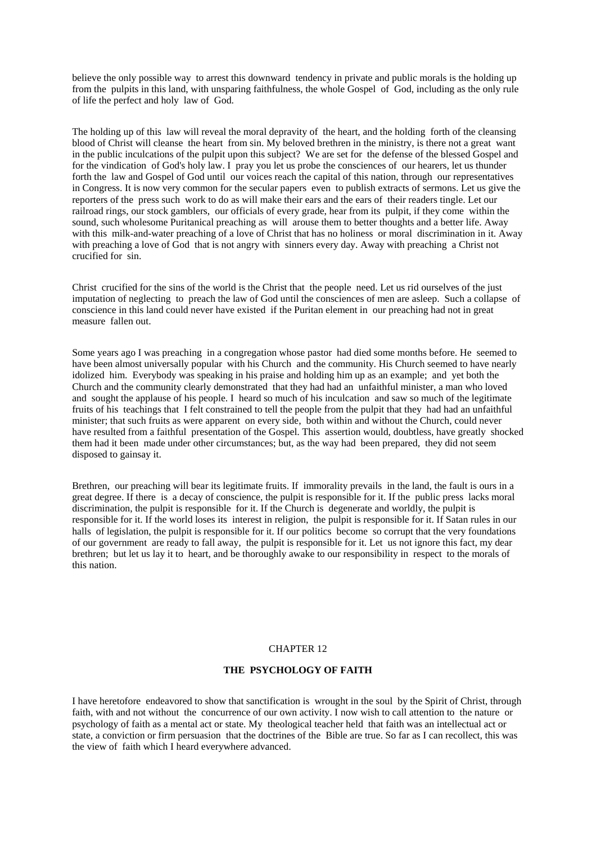believe the only possible way to arrest this downward tendency in private and public morals is the holding up from the pulpits in this land, with unsparing faithfulness, the whole Gospel of God, including as the only rule of life the perfect and holy law of God.

The holding up of this law will reveal the moral depravity of the heart, and the holding forth of the cleansing blood of Christ will cleanse the heart from sin. My beloved brethren in the ministry, is there not a great want in the public inculcations of the pulpit upon this subject? We are set for the defense of the blessed Gospel and for the vindication of God's holy law. I pray you let us probe the consciences of our hearers, let us thunder forth the law and Gospel of God until our voices reach the capital of this nation, through our representatives in Congress. It is now very common for the secular papers even to publish extracts of sermons. Let us give the reporters of the press such work to do as will make their ears and the ears of their readers tingle. Let our railroad rings, our stock gamblers, our officials of every grade, hear from its pulpit, if they come within the sound, such wholesome Puritanical preaching as will arouse them to better thoughts and a better life. Away with this milk-and-water preaching of a love of Christ that has no holiness or moral discrimination in it. Away with preaching a love of God that is not angry with sinners every day. Away with preaching a Christ not crucified for sin.

Christ crucified for the sins of the world is the Christ that the people need. Let us rid ourselves of the just imputation of neglecting to preach the law of God until the consciences of men are asleep. Such a collapse of conscience in this land could never have existed if the Puritan element in our preaching had not in great measure fallen out.

Some years ago I was preaching in a congregation whose pastor had died some months before. He seemed to have been almost universally popular with his Church and the community. His Church seemed to have nearly idolized him. Everybody was speaking in his praise and holding him up as an example; and yet both the Church and the community clearly demonstrated that they had had an unfaithful minister, a man who loved and sought the applause of his people. I heard so much of his inculcation and saw so much of the legitimate fruits of his teachings that I felt constrained to tell the people from the pulpit that they had had an unfaithful minister; that such fruits as were apparent on every side, both within and without the Church, could never have resulted from a faithful presentation of the Gospel. This assertion would, doubtless, have greatly shocked them had it been made under other circumstances; but, as the way had been prepared, they did not seem disposed to gainsay it.

Brethren, our preaching will bear its legitimate fruits. If immorality prevails in the land, the fault is ours in a great degree. If there is a decay of conscience, the pulpit is responsible for it. If the public press lacks moral discrimination, the pulpit is responsible for it. If the Church is degenerate and worldly, the pulpit is responsible for it. If the world loses its interest in religion, the pulpit is responsible for it. If Satan rules in our halls of legislation, the pulpit is responsible for it. If our politics become so corrupt that the very foundations of our government are ready to fall away, the pulpit is responsible for it. Let us not ignore this fact, my dear brethren; but let us lay it to heart, and be thoroughly awake to our responsibility in respect to the morals of this nation.

#### CHAPTER 12

# **THE PSYCHOLOGY OF FAITH**

I have heretofore endeavored to show that sanctification is wrought in the soul by the Spirit of Christ, through faith, with and not without the concurrence of our own activity. I now wish to call attention to the nature or psychology of faith as a mental act or state. My theological teacher held that faith was an intellectual act or state, a conviction or firm persuasion that the doctrines of the Bible are true. So far as I can recollect, this was the view of faith which I heard everywhere advanced.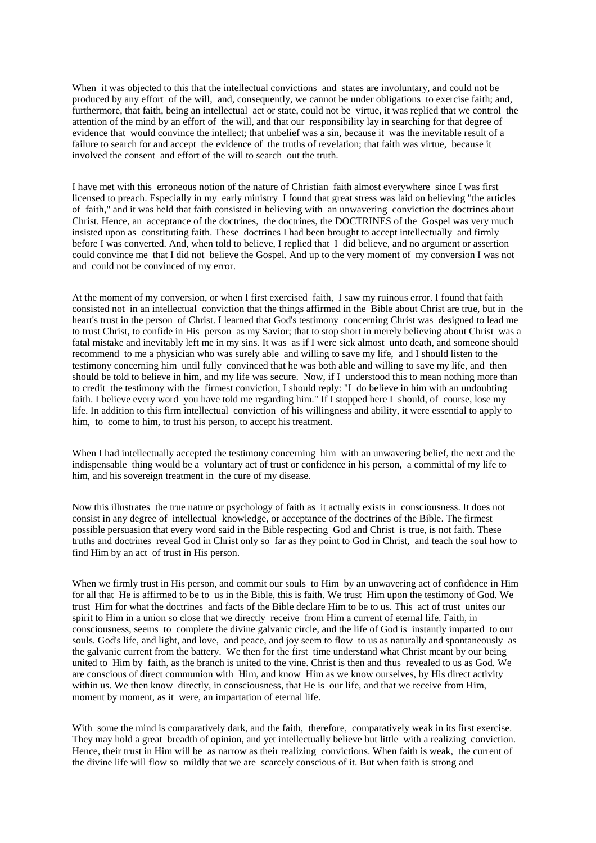When it was objected to this that the intellectual convictions and states are involuntary, and could not be produced by any effort of the will, and, consequently, we cannot be under obligations to exercise faith; and, furthermore, that faith, being an intellectual act or state, could not be virtue, it was replied that we control the attention of the mind by an effort of the will, and that our responsibility lay in searching for that degree of evidence that would convince the intellect; that unbelief was a sin, because it was the inevitable result of a failure to search for and accept the evidence of the truths of revelation; that faith was virtue, because it involved the consent and effort of the will to search out the truth.

I have met with this erroneous notion of the nature of Christian faith almost everywhere since I was first licensed to preach. Especially in my early ministry I found that great stress was laid on believing "the articles of faith," and it was held that faith consisted in believing with an unwavering conviction the doctrines about Christ. Hence, an acceptance of the doctrines, the doctrines, the DOCTRINES of the Gospel was very much insisted upon as constituting faith. These doctrines I had been brought to accept intellectually and firmly before I was converted. And, when told to believe, I replied that I did believe, and no argument or assertion could convince me that I did not believe the Gospel. And up to the very moment of my conversion I was not and could not be convinced of my error.

At the moment of my conversion, or when I first exercised faith, I saw my ruinous error. I found that faith consisted not in an intellectual conviction that the things affirmed in the Bible about Christ are true, but in the heart's trust in the person of Christ. I learned that God's testimony concerning Christ was designed to lead me to trust Christ, to confide in His person as my Savior; that to stop short in merely believing about Christ was a fatal mistake and inevitably left me in my sins. It was as if I were sick almost unto death, and someone should recommend to me a physician who was surely able and willing to save my life, and I should listen to the testimony concerning him until fully convinced that he was both able and willing to save my life, and then should be told to believe in him, and my life was secure. Now, if I understood this to mean nothing more than to credit the testimony with the firmest conviction, I should reply: "I do believe in him with an undoubting faith. I believe every word you have told me regarding him." If I stopped here I should, of course, lose my life. In addition to this firm intellectual conviction of his willingness and ability, it were essential to apply to him, to come to him, to trust his person, to accept his treatment.

When I had intellectually accepted the testimony concerning him with an unwavering belief, the next and the indispensable thing would be a voluntary act of trust or confidence in his person, a committal of my life to him, and his sovereign treatment in the cure of my disease.

Now this illustrates the true nature or psychology of faith as it actually exists in consciousness. It does not consist in any degree of intellectual knowledge, or acceptance of the doctrines of the Bible. The firmest possible persuasion that every word said in the Bible respecting God and Christ is true, is not faith. These truths and doctrines reveal God in Christ only so far as they point to God in Christ, and teach the soul how to find Him by an act of trust in His person.

When we firmly trust in His person, and commit our souls to Him by an unwavering act of confidence in Him for all that He is affirmed to be to us in the Bible, this is faith. We trust Him upon the testimony of God. We trust Him for what the doctrines and facts of the Bible declare Him to be to us. This act of trust unites our spirit to Him in a union so close that we directly receive from Him a current of eternal life. Faith, in consciousness, seems to complete the divine galvanic circle, and the life of God is instantly imparted to our souls. God's life, and light, and love, and peace, and joy seem to flow to us as naturally and spontaneously as the galvanic current from the battery. We then for the first time understand what Christ meant by our being united to Him by faith, as the branch is united to the vine. Christ is then and thus revealed to us as God. We are conscious of direct communion with Him, and know Him as we know ourselves, by His direct activity within us. We then know directly, in consciousness, that He is our life, and that we receive from Him, moment by moment, as it were, an impartation of eternal life.

With some the mind is comparatively dark, and the faith, therefore, comparatively weak in its first exercise. They may hold a great breadth of opinion, and yet intellectually believe but little with a realizing conviction. Hence, their trust in Him will be as narrow as their realizing convictions. When faith is weak, the current of the divine life will flow so mildly that we are scarcely conscious of it. But when faith is strong and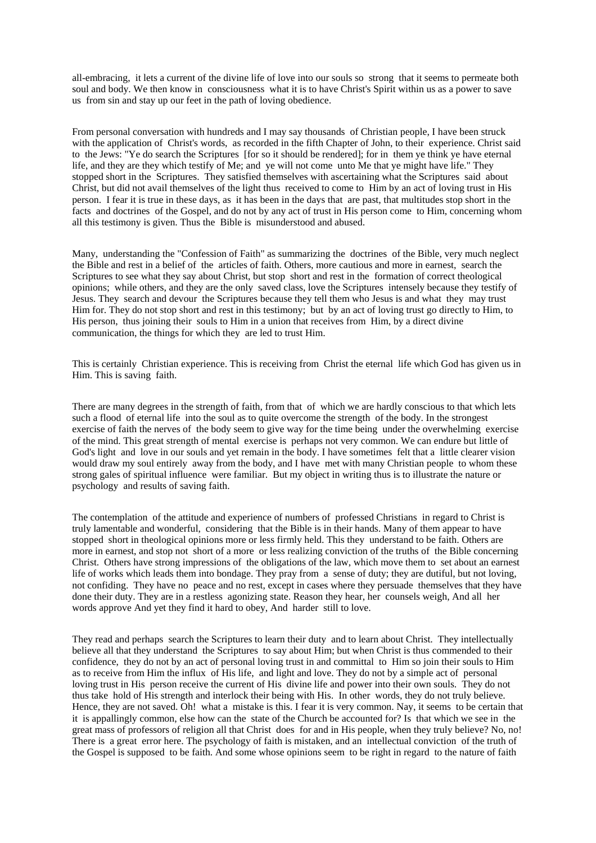all-embracing, it lets a current of the divine life of love into our souls so strong that it seems to permeate both soul and body. We then know in consciousness what it is to have Christ's Spirit within us as a power to save us from sin and stay up our feet in the path of loving obedience.

From personal conversation with hundreds and I may say thousands of Christian people, I have been struck with the application of Christ's words, as recorded in the fifth Chapter of John, to their experience. Christ said to the Jews: "Ye do search the Scriptures [for so it should be rendered]; for in them ye think ye have eternal life, and they are they which testify of Me; and ye will not come unto Me that ye might have life." They stopped short in the Scriptures. They satisfied themselves with ascertaining what the Scriptures said about Christ, but did not avail themselves of the light thus received to come to Him by an act of loving trust in His person. I fear it is true in these days, as it has been in the days that are past, that multitudes stop short in the facts and doctrines of the Gospel, and do not by any act of trust in His person come to Him, concerning whom all this testimony is given. Thus the Bible is misunderstood and abused.

Many, understanding the "Confession of Faith" as summarizing the doctrines of the Bible, very much neglect the Bible and rest in a belief of the articles of faith. Others, more cautious and more in earnest, search the Scriptures to see what they say about Christ, but stop short and rest in the formation of correct theological opinions; while others, and they are the only saved class, love the Scriptures intensely because they testify of Jesus. They search and devour the Scriptures because they tell them who Jesus is and what they may trust Him for. They do not stop short and rest in this testimony; but by an act of loving trust go directly to Him, to His person, thus joining their souls to Him in a union that receives from Him, by a direct divine communication, the things for which they are led to trust Him.

This is certainly Christian experience. This is receiving from Christ the eternal life which God has given us in Him. This is saving faith.

There are many degrees in the strength of faith, from that of which we are hardly conscious to that which lets such a flood of eternal life into the soul as to quite overcome the strength of the body. In the strongest exercise of faith the nerves of the body seem to give way for the time being under the overwhelming exercise of the mind. This great strength of mental exercise is perhaps not very common. We can endure but little of God's light and love in our souls and yet remain in the body. I have sometimes felt that a little clearer vision would draw my soul entirely away from the body, and I have met with many Christian people to whom these strong gales of spiritual influence were familiar. But my object in writing thus is to illustrate the nature or psychology and results of saving faith.

The contemplation of the attitude and experience of numbers of professed Christians in regard to Christ is truly lamentable and wonderful, considering that the Bible is in their hands. Many of them appear to have stopped short in theological opinions more or less firmly held. This they understand to be faith. Others are more in earnest, and stop not short of a more or less realizing conviction of the truths of the Bible concerning Christ. Others have strong impressions of the obligations of the law, which move them to set about an earnest life of works which leads them into bondage. They pray from a sense of duty; they are dutiful, but not loving, not confiding. They have no peace and no rest, except in cases where they persuade themselves that they have done their duty. They are in a restless agonizing state. Reason they hear, her counsels weigh, And all her words approve And yet they find it hard to obey, And harder still to love.

They read and perhaps search the Scriptures to learn their duty and to learn about Christ. They intellectually believe all that they understand the Scriptures to say about Him; but when Christ is thus commended to their confidence, they do not by an act of personal loving trust in and committal to Him so join their souls to Him as to receive from Him the influx of His life, and light and love. They do not by a simple act of personal loving trust in His person receive the current of His divine life and power into their own souls. They do not thus take hold of His strength and interlock their being with His. In other words, they do not truly believe. Hence, they are not saved. Oh! what a mistake is this. I fear it is very common. Nay, it seems to be certain that it is appallingly common, else how can the state of the Church be accounted for? Is that which we see in the great mass of professors of religion all that Christ does for and in His people, when they truly believe? No, no! There is a great error here. The psychology of faith is mistaken, and an intellectual conviction of the truth of the Gospel is supposed to be faith. And some whose opinions seem to be right in regard to the nature of faith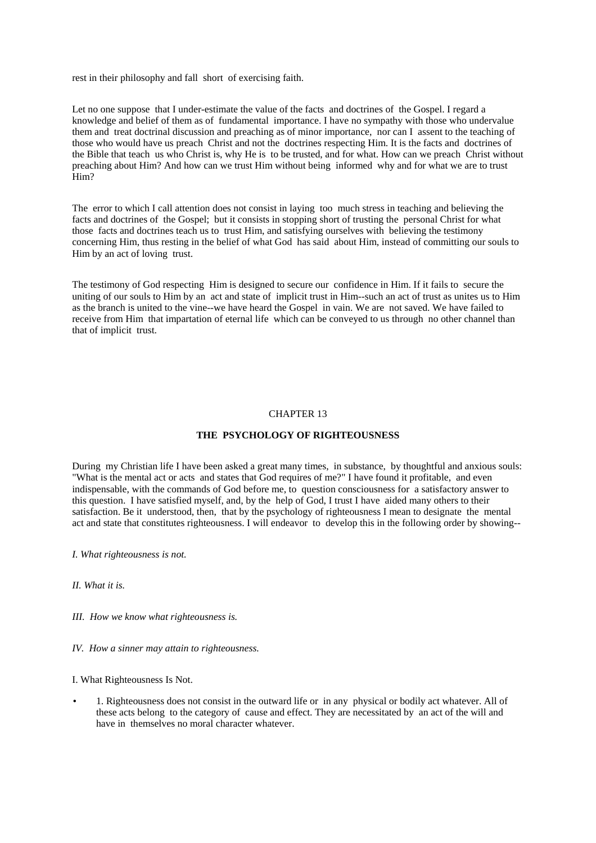rest in their philosophy and fall short of exercising faith.

Let no one suppose that I under-estimate the value of the facts and doctrines of the Gospel. I regard a knowledge and belief of them as of fundamental importance. I have no sympathy with those who undervalue them and treat doctrinal discussion and preaching as of minor importance, nor can I assent to the teaching of those who would have us preach Christ and not the doctrines respecting Him. It is the facts and doctrines of the Bible that teach us who Christ is, why He is to be trusted, and for what. How can we preach Christ without preaching about Him? And how can we trust Him without being informed why and for what we are to trust Him?

The error to which I call attention does not consist in laying too much stress in teaching and believing the facts and doctrines of the Gospel; but it consists in stopping short of trusting the personal Christ for what those facts and doctrines teach us to trust Him, and satisfying ourselves with believing the testimony concerning Him, thus resting in the belief of what God has said about Him, instead of committing our souls to Him by an act of loving trust.

The testimony of God respecting Him is designed to secure our confidence in Him. If it fails to secure the uniting of our souls to Him by an act and state of implicit trust in Him--such an act of trust as unites us to Him as the branch is united to the vine--we have heard the Gospel in vain. We are not saved. We have failed to receive from Him that impartation of eternal life which can be conveyed to us through no other channel than that of implicit trust.

#### CHAPTER 13

# **THE PSYCHOLOGY OF RIGHTEOUSNESS**

During my Christian life I have been asked a great many times, in substance, by thoughtful and anxious souls: "What is the mental act or acts and states that God requires of me?" I have found it profitable, and even indispensable, with the commands of God before me, to question consciousness for a satisfactory answer to this question. I have satisfied myself, and, by the help of God, I trust I have aided many others to their satisfaction. Be it understood, then, that by the psychology of righteousness I mean to designate the mental act and state that constitutes righteousness. I will endeavor to develop this in the following order by showing--

*I. What righteousness is not.*

*II. What it is.*

*III. How we know what righteousness is.*

*IV. How a sinner may attain to righteousness.*

I. What Righteousness Is Not.

• 1. Righteousness does not consist in the outward life or in any physical or bodily act whatever. All of these acts belong to the category of cause and effect. They are necessitated by an act of the will and have in themselves no moral character whatever.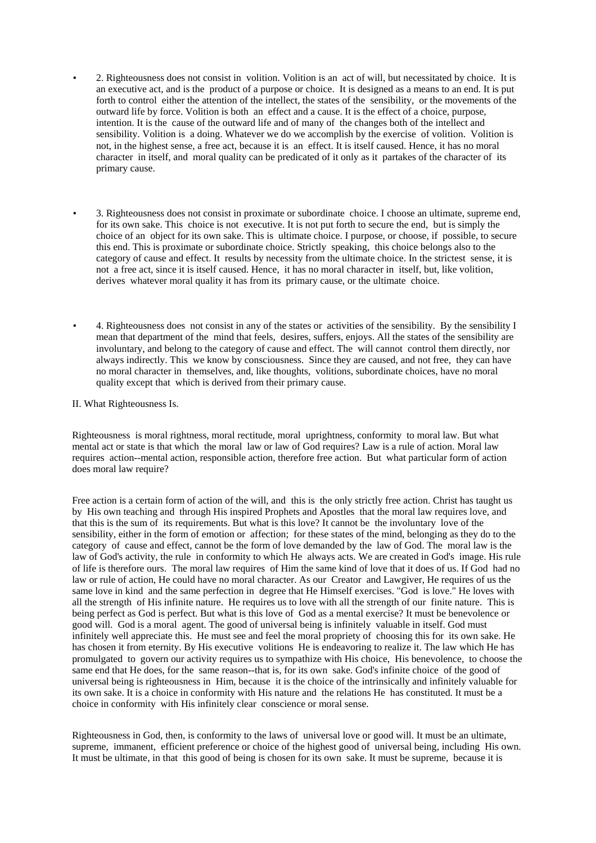- 2. Righteousness does not consist in volition. Volition is an act of will, but necessitated by choice. It is an executive act, and is the product of a purpose or choice. It is designed as a means to an end. It is put forth to control either the attention of the intellect, the states of the sensibility, or the movements of the outward life by force. Volition is both an effect and a cause. It is the effect of a choice, purpose, intention. It is the cause of the outward life and of many of the changes both of the intellect and sensibility. Volition is a doing. Whatever we do we accomplish by the exercise of volition. Volition is not, in the highest sense, a free act, because it is an effect. It is itself caused. Hence, it has no moral character in itself, and moral quality can be predicated of it only as it partakes of the character of its primary cause.
- 3. Righteousness does not consist in proximate or subordinate choice. I choose an ultimate, supreme end, for its own sake. This choice is not executive. It is not put forth to secure the end, but is simply the choice of an object for its own sake. This is ultimate choice. I purpose, or choose, if possible, to secure this end. This is proximate or subordinate choice. Strictly speaking, this choice belongs also to the category of cause and effect. It results by necessity from the ultimate choice. In the strictest sense, it is not a free act, since it is itself caused. Hence, it has no moral character in itself, but, like volition, derives whatever moral quality it has from its primary cause, or the ultimate choice.
- 4. Righteousness does not consist in any of the states or activities of the sensibility. By the sensibility I mean that department of the mind that feels, desires, suffers, enjoys. All the states of the sensibility are involuntary, and belong to the category of cause and effect. The will cannot control them directly, nor always indirectly. This we know by consciousness. Since they are caused, and not free, they can have no moral character in themselves, and, like thoughts, volitions, subordinate choices, have no moral quality except that which is derived from their primary cause.

II. What Righteousness Is.

Righteousness is moral rightness, moral rectitude, moral uprightness, conformity to moral law. But what mental act or state is that which the moral law or law of God requires? Law is a rule of action. Moral law requires action--mental action, responsible action, therefore free action. But what particular form of action does moral law require?

Free action is a certain form of action of the will, and this is the only strictly free action. Christ has taught us by His own teaching and through His inspired Prophets and Apostles that the moral law requires love, and that this is the sum of its requirements. But what is this love? It cannot be the involuntary love of the sensibility, either in the form of emotion or affection; for these states of the mind, belonging as they do to the category of cause and effect, cannot be the form of love demanded by the law of God. The moral law is the law of God's activity, the rule in conformity to which He always acts. We are created in God's image. His rule of life is therefore ours. The moral law requires of Him the same kind of love that it does of us. If God had no law or rule of action, He could have no moral character. As our Creator and Lawgiver, He requires of us the same love in kind and the same perfection in degree that He Himself exercises. "God is love." He loves with all the strength of His infinite nature. He requires us to love with all the strength of our finite nature. This is being perfect as God is perfect. But what is this love of God as a mental exercise? It must be benevolence or good will. God is a moral agent. The good of universal being is infinitely valuable in itself. God must infinitely well appreciate this. He must see and feel the moral propriety of choosing this for its own sake. He has chosen it from eternity. By His executive volitions He is endeavoring to realize it. The law which He has promulgated to govern our activity requires us to sympathize with His choice, His benevolence, to choose the same end that He does, for the same reason--that is, for its own sake. God's infinite choice of the good of universal being is righteousness in Him, because it is the choice of the intrinsically and infinitely valuable for its own sake. It is a choice in conformity with His nature and the relations He has constituted. It must be a choice in conformity with His infinitely clear conscience or moral sense.

Righteousness in God, then, is conformity to the laws of universal love or good will. It must be an ultimate, supreme, immanent, efficient preference or choice of the highest good of universal being, including His own. It must be ultimate, in that this good of being is chosen for its own sake. It must be supreme, because it is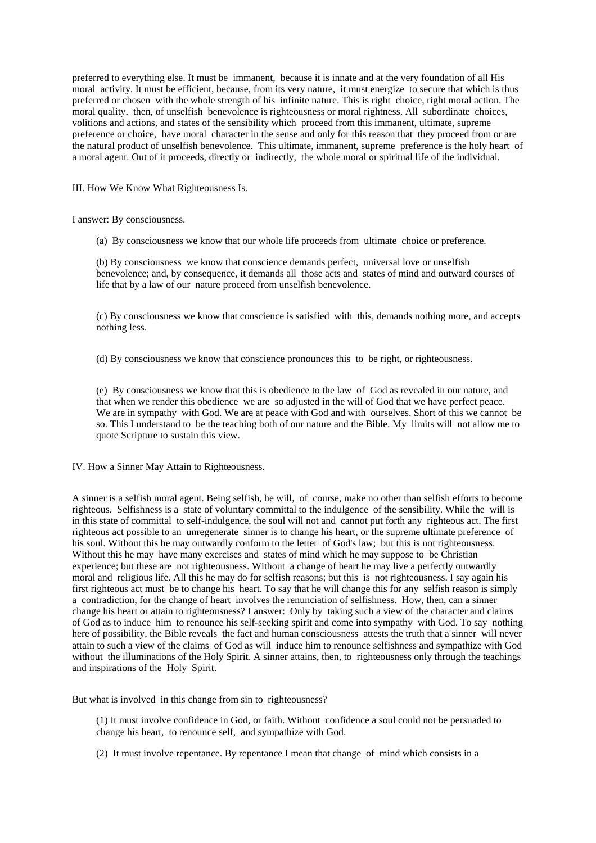preferred to everything else. It must be immanent, because it is innate and at the very foundation of all His moral activity. It must be efficient, because, from its very nature, it must energize to secure that which is thus preferred or chosen with the whole strength of his infinite nature. This is right choice, right moral action. The moral quality, then, of unselfish benevolence is righteousness or moral rightness. All subordinate choices, volitions and actions, and states of the sensibility which proceed from this immanent, ultimate, supreme preference or choice, have moral character in the sense and only for this reason that they proceed from or are the natural product of unselfish benevolence. This ultimate, immanent, supreme preference is the holy heart of a moral agent. Out of it proceeds, directly or indirectly, the whole moral or spiritual life of the individual.

III. How We Know What Righteousness Is.

I answer: By consciousness.

(a) By consciousness we know that our whole life proceeds from ultimate choice or preference.

(b) By consciousness we know that conscience demands perfect, universal love or unselfish benevolence; and, by consequence, it demands all those acts and states of mind and outward courses of life that by a law of our nature proceed from unselfish benevolence.

(c) By consciousness we know that conscience is satisfied with this, demands nothing more, and accepts nothing less.

(d) By consciousness we know that conscience pronounces this to be right, or righteousness.

(e) By consciousness we know that this is obedience to the law of God as revealed in our nature, and that when we render this obedience we are so adjusted in the will of God that we have perfect peace. We are in sympathy with God. We are at peace with God and with ourselves. Short of this we cannot be so. This I understand to be the teaching both of our nature and the Bible. My limits will not allow me to quote Scripture to sustain this view.

IV. How a Sinner May Attain to Righteousness.

A sinner is a selfish moral agent. Being selfish, he will, of course, make no other than selfish efforts to become righteous. Selfishness is a state of voluntary committal to the indulgence of the sensibility. While the will is in this state of committal to self-indulgence, the soul will not and cannot put forth any righteous act. The first righteous act possible to an unregenerate sinner is to change his heart, or the supreme ultimate preference of his soul. Without this he may outwardly conform to the letter of God's law; but this is not righteousness. Without this he may have many exercises and states of mind which he may suppose to be Christian experience; but these are not righteousness. Without a change of heart he may live a perfectly outwardly moral and religious life. All this he may do for selfish reasons; but this is not righteousness. I say again his first righteous act must be to change his heart. To say that he will change this for any selfish reason is simply a contradiction, for the change of heart involves the renunciation of selfishness. How, then, can a sinner change his heart or attain to righteousness? I answer: Only by taking such a view of the character and claims of God as to induce him to renounce his self-seeking spirit and come into sympathy with God. To say nothing here of possibility, the Bible reveals the fact and human consciousness attests the truth that a sinner will never attain to such a view of the claims of God as will induce him to renounce selfishness and sympathize with God without the illuminations of the Holy Spirit. A sinner attains, then, to righteousness only through the teachings and inspirations of the Holy Spirit.

But what is involved in this change from sin to righteousness?

(1) It must involve confidence in God, or faith. Without confidence a soul could not be persuaded to change his heart, to renounce self, and sympathize with God.

(2) It must involve repentance. By repentance I mean that change of mind which consists in a